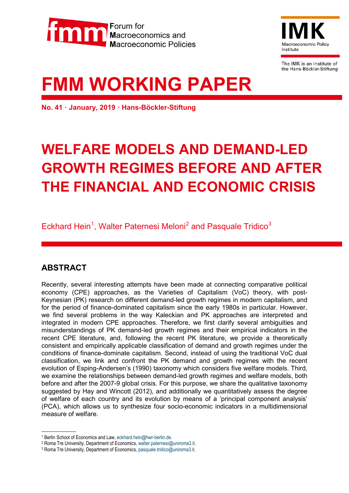



The IMK is an institute of the Hans-Böckler-Stiftung

# **FMM WORKING PAPER**

**No. 41 · January, 2019 · Hans-Böckler-Stiftung**

## **WELFARE MODELS AND DEMAND-LED GROWTH REGIMES BEFORE AND AFTER THE FINANCIAL AND ECONOMIC CRISIS**

Eckhard Hein<sup>[1](#page-0-0)</sup>, Walter Paternesi Meloni<sup>[2](#page-0-1)</sup> and Pasquale Tridico<sup>[3](#page-0-2)</sup>

## **ABSTRACT**

—————————

Recently, several interesting attempts have been made at connecting comparative political economy (CPE) approaches, as the Varieties of Capitalism (VoC) theory, with post-Keynesian (PK) research on different demand-led growth regimes in modern capitalism, and for the period of finance-dominated capitalism since the early 1980s in particular. However, we find several problems in the way Kaleckian and PK approaches are interpreted and integrated in modern CPE approaches. Therefore, we first clarify several ambiguities and misunderstandings of PK demand-led growth regimes and their empirical indicators in the recent CPE literature, and, following the recent PK literature, we provide a theoretically consistent and empirically applicable classification of demand and growth regimes under the conditions of finance-dominate capitalism. Second, instead of using the traditional VoC dual classification, we link and confront the PK demand and growth regimes with the recent evolution of Esping-Andersen's (1990) taxonomy which considers five welfare models. Third, we examine the relationships between demand-led growth regimes and welfare models, both before and after the 2007-9 global crisis. For this purpose, we share the qualitative taxonomy suggested by Hay and Wincott (2012), and additionally we quantitatively assess the degree of welfare of each country and its evolution by means of a 'principal component analysis' (PCA), which allows us to synthesize four socio-economic indicators in a multidimensional measure of welfare.

<sup>1</sup> Berlin School of Economics and Law[, eckhard.hein@hwr-berlin.de.](mailto:eckhard.hein@hwr-berlin.de)

<span id="page-0-2"></span><span id="page-0-1"></span><span id="page-0-0"></span><sup>2</sup> Roma Tre University, Department of Economics[, walter.paternesi@uniroma3.it.](mailto:walter.paternesi@uniroma3.it)

<sup>3</sup> Roma Tre University, Department of Economics[, pasquale.tridico@uniroma3.it.](mailto:pasquale.tridico@uniroma3.it)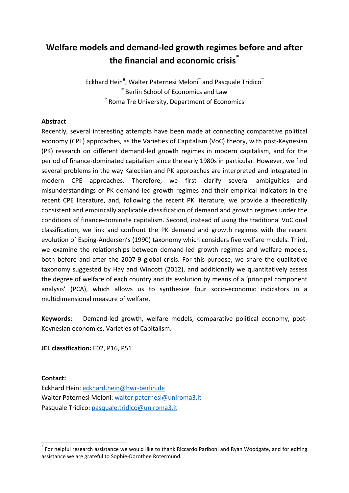## **Welfare models and demand-led growth regimes before and after the financial and economic crisis[\\*](#page-1-0)**

Eckhard Hein<sup>#</sup>, Walter Paternesi Meloni $\tilde{ }$  and Pasquale Tridico $\tilde{ }$ # Berlin School of Economics and Law  $\tilde{ }$  Roma Tre University, Department of Economics

#### **Abstract**

Recently, several interesting attempts have been made at connecting comparative political economy (CPE) approaches, as the Varieties of Capitalism (VoC) theory, with post-Keynesian (PK) research on different demand-led growth regimes in modern capitalism, and for the period of finance-dominated capitalism since the early 1980s in particular. However, we find several problems in the way Kaleckian and PK approaches are interpreted and integrated in modern CPE approaches. Therefore, we first clarify several ambiguities and misunderstandings of PK demand-led growth regimes and their empirical indicators in the recent CPE literature, and, following the recent PK literature, we provide a theoretically consistent and empirically applicable classification of demand and growth regimes under the conditions of finance-dominate capitalism. Second, instead of using the traditional VoC dual classification, we link and confront the PK demand and growth regimes with the recent evolution of Esping-Andersen's (1990) taxonomy which considers five welfare models. Third, we examine the relationships between demand-led growth regimes and welfare models, both before and after the 2007-9 global crisis. For this purpose, we share the qualitative taxonomy suggested by Hay and Wincott (2012), and additionally we quantitatively assess the degree of welfare of each country and its evolution by means of a 'principal component analysis' (PCA), which allows us to synthesize four socio-economic indicators in a multidimensional measure of welfare.

**Keywords**: Demand-led growth, welfare models, comparative political economy, post-Keynesian economics, Varieties of Capitalism.

**JEL classification:** E02, P16, P51

**Contact:**

 $\overline{a}$ 

Eckhard Hein: [eckhard.hein@hwr-berlin.de](mailto:eckhard.hein@hwr-berlin.de) Walter Paternesi Meloni: [walter.paternesi@uniroma3.it](mailto:walter.paternesi@uniroma3.it) Pasquale Tridico: [pasquale.tridico@uniroma3.it](mailto:pasquale.tridico@uniroma3.it)

<span id="page-1-0"></span><sup>\*</sup> For helpful research assistance we would like to thank Riccardo Pariboni and Ryan Woodgate, and for editing assistance we are grateful to Sophie-Dorothee Rotermund.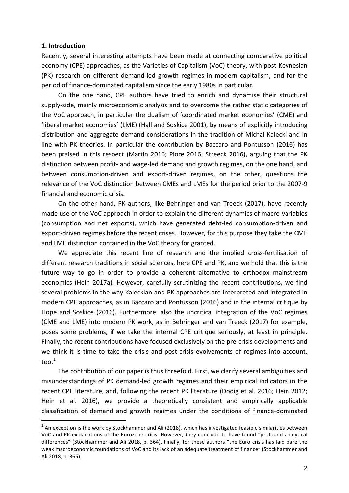#### **1. Introduction**

 $\overline{a}$ 

Recently, several interesting attempts have been made at connecting comparative political economy (CPE) approaches, as the Varieties of Capitalism (VoC) theory, with post-Keynesian (PK) research on different demand-led growth regimes in modern capitalism, and for the period of finance-dominated capitalism since the early 1980s in particular.

On the one hand, CPE authors have tried to enrich and dynamise their structural supply-side, mainly microeconomic analysis and to overcome the rather static categories of the VoC approach, in particular the dualism of 'coordinated market economies' (CME) and 'liberal market economies' (LME) (Hall and Soskice 2001), by means of explicitly introducing distribution and aggregate demand considerations in the tradition of Michal Kalecki and in line with PK theories. In particular the contribution by Baccaro and Pontusson (2016) has been praised in this respect (Martin 2016; Piore 2016; Streeck 2016), arguing that the PK distinction between profit- and wage-led demand and growth regimes, on the one hand, and between consumption-driven and export-driven regimes, on the other, questions the relevance of the VoC distinction between CMEs and LMEs for the period prior to the 2007-9 financial and economic crisis.

On the other hand, PK authors, like Behringer and van Treeck (2017), have recently made use of the VoC approach in order to explain the different dynamics of macro-variables (consumption and net exports), which have generated debt-led consumption-driven and export-driven regimes before the recent crises. However, for this purpose they take the CME and LME distinction contained in the VoC theory for granted.

We appreciate this recent line of research and the implied cross-fertilisation of different research traditions in social sciences, here CPE and PK, and we hold that this is the future way to go in order to provide a coherent alternative to orthodox mainstream economics (Hein 2017a). However, carefully scrutinizing the recent contributions, we find several problems in the way Kaleckian and PK approaches are interpreted and integrated in modern CPE approaches, as in Baccaro and Pontusson (2016) and in the internal critique by Hope and Soskice (2016). Furthermore, also the uncritical integration of the VoC regimes (CME and LME) into modern PK work, as in Behringer and van Treeck (2017) for example, poses some problems, if we take the internal CPE critique seriously, at least in principle. Finally, the recent contributions have focused exclusively on the pre-crisis developments and we think it is time to take the crisis and post-crisis evolvements of regimes into account, too. $1$ 

The contribution of our paper is thus threefold. First, we clarify several ambiguities and misunderstandings of PK demand-led growth regimes and their empirical indicators in the recent CPE literature, and, following the recent PK literature (Dodig et al. 2016; Hein 2012; Hein et al. 2016), we provide a theoretically consistent and empirically applicable classification of demand and growth regimes under the conditions of finance-dominated

<span id="page-2-0"></span> $1$  An exception is the work by Stockhammer and Ali (2018), which has investigated feasible similarities between VoC and PK explanations of the Eurozone crisis. However, they conclude to have found "profound analytical differences" (Stockhammer and Ali 2018, p. 364). Finally, for these authors "the Euro crisis has laid bare the weak macroeconomic foundations of VoC and its lack of an adequate treatment of finance" (Stockhammer and Ali 2018, p. 365).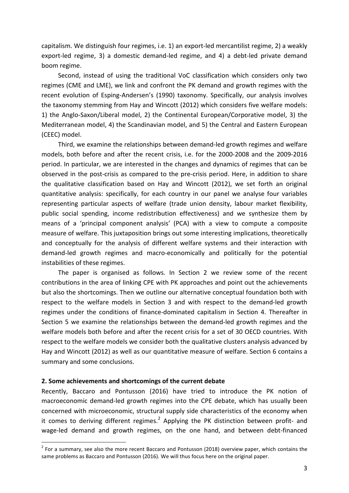capitalism. We distinguish four regimes, i.e. 1) an export-led mercantilist regime, 2) a weakly export-led regime, 3) a domestic demand-led regime, and 4) a debt-led private demand boom regime.

Second, instead of using the traditional VoC classification which considers only two regimes (CME and LME), we link and confront the PK demand and growth regimes with the recent evolution of Esping-Andersen's (1990) taxonomy. Specifically, our analysis involves the taxonomy stemming from Hay and Wincott (2012) which considers five welfare models: 1) the Anglo-Saxon/Liberal model, 2) the Continental European/Corporative model, 3) the Mediterranean model, 4) the Scandinavian model, and 5) the Central and Eastern European (CEEC) model.

Third, we examine the relationships between demand-led growth regimes and welfare models, both before and after the recent crisis, i.e. for the 2000-2008 and the 2009-2016 period. In particular, we are interested in the changes and dynamics of regimes that can be observed in the post-crisis as compared to the pre-crisis period. Here, in addition to share the qualitative classification based on Hay and Wincott (2012), we set forth an original quantitative analysis: specifically, for each country in our panel we analyse four variables representing particular aspects of welfare (trade union density, labour market flexibility, public social spending, income redistribution effectiveness) and we synthesize them by means of a 'principal component analysis' (PCA) with a view to compute a composite measure of welfare. This juxtaposition brings out some interesting implications, theoretically and conceptually for the analysis of different welfare systems and their interaction with demand-led growth regimes and macro-economically and politically for the potential instabilities of these regimes.

The paper is organised as follows. In Section 2 we review some of the recent contributions in the area of linking CPE with PK approaches and point out the achievements but also the shortcomings. Then we outline our alternative conceptual foundation both with respect to the welfare models in Section 3 and with respect to the demand-led growth regimes under the conditions of finance-dominated capitalism in Section 4. Thereafter in Section 5 we examine the relationships between the demand-led growth regimes and the welfare models both before and after the recent crisis for a set of 30 OECD countries. With respect to the welfare models we consider both the qualitative clusters analysis advanced by Hay and Wincott (2012) as well as our quantitative measure of welfare. Section 6 contains a summary and some conclusions.

#### **2. Some achievements and shortcomings of the current debate**

 $\overline{a}$ 

Recently, Baccaro and Pontusson (2016) have tried to introduce the PK notion of macroeconomic demand-led growth regimes into the CPE debate, which has usually been concerned with microeconomic, structural supply side characteristics of the economy when it comes to deriving different regimes.<sup>[2](#page-3-0)</sup> Applying the PK distinction between profit- and wage-led demand and growth regimes, on the one hand, and between debt-financed

<span id="page-3-0"></span> $<sup>2</sup>$  For a summary, see also the more recent Baccaro and Pontusson (2018) overview paper, which contains the</sup> same problems as Baccaro and Pontusson (2016). We will thus focus here on the original paper.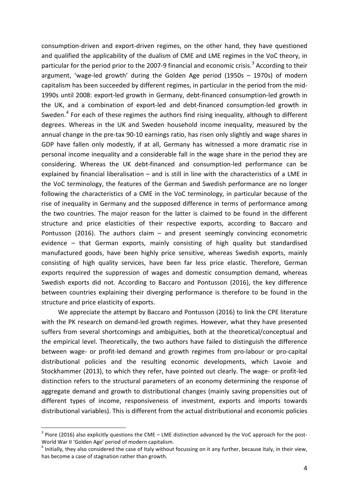consumption-driven and export-driven regimes, on the other hand, they have questioned and qualified the applicability of the dualism of CME and LME regimes in the VoC theory, in particular for the period prior to the 2007-9 financial and economic crisis.<sup>[3](#page-4-0)</sup> According to their argument, 'wage-led growth' during the Golden Age period (1950s – 1970s) of modern capitalism has been succeeded by different regimes, in particular in the period from the mid-1990s until 2008: export-led growth in Germany, debt-financed consumption-led growth in the UK, and a combination of export-led and debt-financed consumption-led growth in Sweden.<sup>[4](#page-4-1)</sup> For each of these regimes the authors find rising inequality, although to different degrees. Whereas in the UK and Sweden household income inequality, measured by the annual change in the pre-tax 90-10 earnings ratio, has risen only slightly and wage shares in GDP have fallen only modestly, if at all, Germany has witnessed a more dramatic rise in personal income inequality and a considerable fall in the wage share in the period they are considering. Whereas the UK debt-financed and consumption-led performance can be explained by financial liberalisation – and is still in line with the characteristics of a LME in the VoC terminology, the features of the German and Swedish performance are no longer following the characteristics of a CME in the VoC terminology, in particular because of the rise of inequality in Germany and the supposed difference in terms of performance among the two countries. The major reason for the latter is claimed to be found in the different structure and price elasticities of their respective exports, according to Baccaro and Pontusson (2016). The authors claim – and present seemingly convincing econometric evidence – that German exports, mainly consisting of high quality but standardised manufactured goods, have been highly price sensitive, whereas Swedish exports, mainly consisting of high quality services, have been far less price elastic. Therefore, German exports required the suppression of wages and domestic consumption demand, whereas Swedish exports did not. According to Baccaro and Pontusson (2016), the key difference between countries explaining their diverging performance is therefore to be found in the structure and price elasticity of exports.

We appreciate the attempt by Baccaro and Pontusson (2016) to link the CPE literature with the PK research on demand-led growth regimes. However, what they have presented suffers from several shortcomings and ambiguities, both at the theoretical/conceptual and the empirical level. Theoretically, the two authors have failed to distinguish the difference between wage- or profit-led demand and growth regimes from pro-labour or pro-capital distributional policies and the resulting economic developments, which Lavoie and Stockhammer (2013), to which they refer, have pointed out clearly. The wage- or profit-led distinction refers to the structural parameters of an economy determining the response of aggregate demand and growth to distributional changes (mainly saving propensities out of different types of income, responsiveness of investment, exports and imports towards distributional variables). This is different from the actual distributional and economic policies

<span id="page-4-0"></span> $3$  Piore (2016) also explicitly questions the CME – LME distinction advanced by the VoC approach for the post-World War II 'Golden Age' period of modern capitalism.

<span id="page-4-1"></span> $<sup>4</sup>$  Initially, they also considered the case of Italy without focussing on it any further, because Italy, in their view,</sup> has become a case of stagnation rather than growth.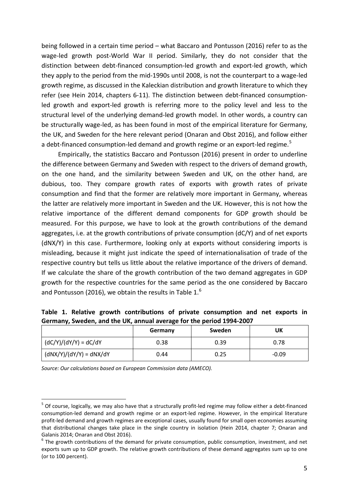being followed in a certain time period – what Baccaro and Pontusson (2016) refer to as the wage-led growth post-World War II period. Similarly, they do not consider that the distinction between debt-financed consumption-led growth and export-led growth, which they apply to the period from the mid-1990s until 2008, is not the counterpart to a wage-led growth regime, as discussed in the Kaleckian distribution and growth literature to which they refer (see Hein 2014, chapters 6-11). The distinction between debt-financed consumptionled growth and export-led growth is referring more to the policy level and less to the structural level of the underlying demand-led growth model. In other words, a country can be structurally wage-led, as has been found in most of the empirical literature for Germany, the UK, and Sweden for the here relevant period (Onaran and Obst 2016), and follow either a debt-financed consumption-led demand and growth regime or an export-led regime.<sup>[5](#page-5-0)</sup>

Empirically, the statistics Baccaro and Pontusson (2016) present in order to underline the difference between Germany and Sweden with respect to the drivers of demand growth, on the one hand, and the similarity between Sweden and UK, on the other hand, are dubious, too. They compare growth rates of exports with growth rates of private consumption and find that the former are relatively more important in Germany, whereas the latter are relatively more important in Sweden and the UK. However, this is not how the relative importance of the different demand components for GDP growth should be measured. For this purpose, we have to look at the growth contributions of the demand aggregates, i.e. at the growth contributions of private consumption (dC/Y) and of net exports (dNX/Y) in this case. Furthermore, looking only at exports without considering imports is misleading, because it might just indicate the speed of internationalisation of trade of the respective country but tells us little about the relative importance of the drivers of demand. If we calculate the share of the growth contribution of the two demand aggregates in GDP growth for the respective countries for the same period as the one considered by Baccaro and Pontusson (201[6](#page-5-1)), we obtain the results in Table 1.<sup>6</sup>

|  |  | Table 1. Relative growth contributions of private consumption and net exports in |  |  |  |  |
|--|--|----------------------------------------------------------------------------------|--|--|--|--|
|  |  | Germany, Sweden, and the UK, annual average for the period 1994-2007             |  |  |  |  |

|                           | Germany | Sweden | UΚ      |
|---------------------------|---------|--------|---------|
| $(dC/Y)/(dY/Y) = dC/dY$   | 0.38    | 0.39   | 0.78    |
| $(dNX/Y)/(dY/Y) = dNX/dY$ | 0.44    | 0.25   | $-0.09$ |

*Source: Our calculations based on European Commission data (AMECO).*

<span id="page-5-0"></span> $5$  Of course, logically, we may also have that a structurally profit-led regime may follow either a debt-financed consumption-led demand and growth regime or an export-led regime. However, in the empirical literature profit-led demand and growth regimes are exceptional cases, usually found for small open economies assuming that distributional changes take place in the single country in isolation (Hein 2014, chapter 7; Onaran and Galanis 2014; Onaran and Obst 2016).

<span id="page-5-1"></span> $6$  The growth contributions of the demand for private consumption, public consumption, investment, and net exports sum up to GDP growth. The relative growth contributions of these demand aggregates sum up to one (or to 100 percent).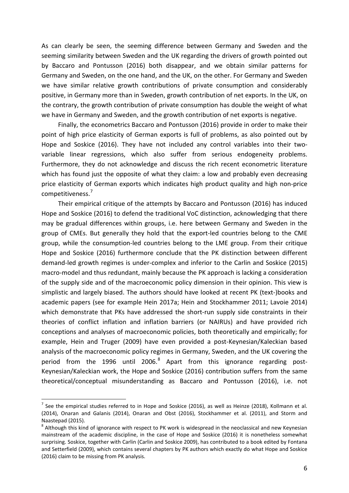As can clearly be seen, the seeming difference between Germany and Sweden and the seeming similarity between Sweden and the UK regarding the drivers of growth pointed out by Baccaro and Pontusson (2016) both disappear, and we obtain similar patterns for Germany and Sweden, on the one hand, and the UK, on the other. For Germany and Sweden we have similar relative growth contributions of private consumption and considerably positive, in Germany more than in Sweden, growth contribution of net exports. In the UK, on the contrary, the growth contribution of private consumption has double the weight of what we have in Germany and Sweden, and the growth contribution of net exports is negative.

Finally, the econometrics Baccaro and Pontusson (2016) provide in order to make their point of high price elasticity of German exports is full of problems, as also pointed out by Hope and Soskice (2016). They have not included any control variables into their twovariable linear regressions, which also suffer from serious endogeneity problems. Furthermore, they do not acknowledge and discuss the rich recent econometric literature which has found just the opposite of what they claim: a low and probably even decreasing price elasticity of German exports which indicates high product quality and high non-price competitiveness. [7](#page-6-0)

Their empirical critique of the attempts by Baccaro and Pontusson (2016) has induced Hope and Soskice (2016) to defend the traditional VoC distinction, acknowledging that there may be gradual differences within groups, i.e. here between Germany and Sweden in the group of CMEs. But generally they hold that the export-led countries belong to the CME group, while the consumption-led countries belong to the LME group. From their critique Hope and Soskice (2016) furthermore conclude that the PK distinction between different demand-led growth regimes is under-complex and inferior to the Carlin and Soskice (2015) macro-model and thus redundant, mainly because the PK approach is lacking a consideration of the supply side and of the macroeconomic policy dimension in their opinion. This view is simplistic and largely biased. The authors should have looked at recent PK (text-)books and academic papers (see for example Hein 2017a; Hein and Stockhammer 2011; Lavoie 2014) which demonstrate that PKs have addressed the short-run supply side constraints in their theories of conflict inflation and inflation barriers (or NAIRUs) and have provided rich conceptions and analyses of macroeconomic policies, both theoretically and empirically; for example, Hein and Truger (2009) have even provided a post-Keynesian/Kaleckian based analysis of the macroeconomic policy regimes in Germany, Sweden, and the UK covering the period from the 1996 until 2006. $8$  Apart from this ignorance regarding post-Keynesian/Kaleckian work, the Hope and Soskice (2016) contribution suffers from the same theoretical/conceptual misunderstanding as Baccaro and Pontusson (2016), i.e. not

<span id="page-6-0"></span> $^7$  See the empirical studies referred to in Hope and Soskice (2016), as well as Heinze (2018), Kollmann et al. (2014), Onaran and Galanis (2014), Onaran and Obst (2016), Stockhammer et al. (2011), and Storm and Naastepad (2015).<br><sup>8</sup> Although this kind of ignorance with respect to PK work is widespread in the neoclassical and new Keynesian

<span id="page-6-1"></span>mainstream of the academic discipline, in the case of Hope and Soskice (2016) it is nonetheless somewhat surprising. Soskice, together with Carlin (Carlin and Soskice 2009), has contributed to a book edited by Fontana and Setterfield (2009), which contains several chapters by PK authors which exactly do what Hope and Soskice (2016) claim to be missing from PK analysis.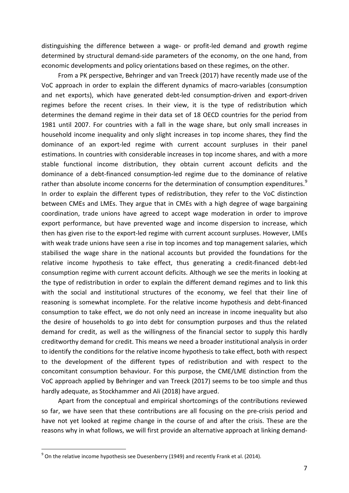distinguishing the difference between a wage- or profit-led demand and growth regime determined by structural demand-side parameters of the economy, on the one hand, from economic developments and policy orientations based on these regimes, on the other.

From a PK perspective, Behringer and van Treeck (2017) have recently made use of the VoC approach in order to explain the different dynamics of macro-variables (consumption and net exports), which have generated debt-led consumption-driven and export-driven regimes before the recent crises. In their view, it is the type of redistribution which determines the demand regime in their data set of 18 OECD countries for the period from 1981 until 2007. For countries with a fall in the wage share, but only small increases in household income inequality and only slight increases in top income shares, they find the dominance of an export-led regime with current account surpluses in their panel estimations. In countries with considerable increases in top income shares, and with a more stable functional income distribution, they obtain current account deficits and the dominance of a debt-financed consumption-led regime due to the dominance of relative rather than absolute income concerns for the determination of consumption expenditures.<sup>[9](#page-7-0)</sup> In order to explain the different types of redistribution, they refer to the VoC distinction between CMEs and LMEs. They argue that in CMEs with a high degree of wage bargaining coordination, trade unions have agreed to accept wage moderation in order to improve export performance, but have prevented wage and income dispersion to increase, which then has given rise to the export-led regime with current account surpluses. However, LMEs with weak trade unions have seen a rise in top incomes and top management salaries, which stabilised the wage share in the national accounts but provided the foundations for the relative income hypothesis to take effect, thus generating a credit-financed debt-led consumption regime with current account deficits. Although we see the merits in looking at the type of redistribution in order to explain the different demand regimes and to link this with the social and institutional structures of the economy, we feel that their line of reasoning is somewhat incomplete. For the relative income hypothesis and debt-financed consumption to take effect, we do not only need an increase in income inequality but also the desire of households to go into debt for consumption purposes and thus the related demand for credit, as well as the willingness of the financial sector to supply this hardly creditworthy demand for credit. This means we need a broader institutional analysis in order to identify the conditions for the relative income hypothesis to take effect, both with respect to the development of the different types of redistribution and with respect to the concomitant consumption behaviour. For this purpose, the CME/LME distinction from the VoC approach applied by Behringer and van Treeck (2017) seems to be too simple and thus hardly adequate, as Stockhammer and Ali (2018) have argued.

Apart from the conceptual and empirical shortcomings of the contributions reviewed so far, we have seen that these contributions are all focusing on the pre-crisis period and have not yet looked at regime change in the course of and after the crisis. These are the reasons why in what follows, we will first provide an alternative approach at linking demand-

<span id="page-7-0"></span> $9$  On the relative income hypothesis see Duesenberry (1949) and recently Frank et al. (2014).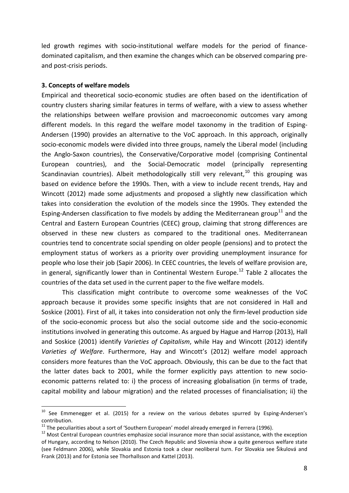led growth regimes with socio-institutional welfare models for the period of financedominated capitalism, and then examine the changes which can be observed comparing preand post-crisis periods.

#### **3. Concepts of welfare models**

 $\overline{a}$ 

Empirical and theoretical socio-economic studies are often based on the identification of country clusters sharing similar features in terms of welfare, with a view to assess whether the relationships between welfare provision and macroeconomic outcomes vary among different models. In this regard the welfare model taxonomy in the tradition of Esping-Andersen (1990) provides an alternative to the VoC approach. In this approach, originally socio-economic models were divided into three groups, namely the Liberal model (including the Anglo-Saxon countries), the Conservative/Corporative model (comprising Continental European countries), and the Social-Democratic model (principally representing Scandinavian countries). Albeit methodologically still very relevant,<sup>[10](#page-8-0)</sup> this grouping was based on evidence before the 1990s. Then, with a view to include recent trends, Hay and Wincott (2012) made some adjustments and proposed a slightly new classification which takes into consideration the evolution of the models since the 1990s. They extended the Esping-Andersen classification to five models by adding the Mediterranean group<sup>[11](#page-8-1)</sup> and the Central and Eastern European Countries (CEEC) group, claiming that strong differences are observed in these new clusters as compared to the traditional ones. Mediterranean countries tend to concentrate social spending on older people (pensions) and to protect the employment status of workers as a priority over providing unemployment insurance for people who lose their job (Sapir 2006). In CEEC countries, the levels of welfare provision are, in general, significantly lower than in Continental Western Europe.<sup>[12](#page-8-2)</sup> Table 2 allocates the countries of the data set used in the current paper to the five welfare models.

This classification might contribute to overcome some weaknesses of the VoC approach because it provides some specific insights that are not considered in Hall and Soskice (2001). First of all, it takes into consideration not only the firm-level production side of the socio-economic process but also the social outcome side and the socio-economic institutions involved in generating this outcome. As argued by Hague and Harrop (2013), Hall and Soskice (2001) identify *Varieties of Capitalism*, while Hay and Wincott (2012) identify *Varieties of Welfare*. Furthermore, Hay and Wincott's (2012) welfare model approach considers more features than the VoC approach. Obviously, this can be due to the fact that the latter dates back to 2001, while the former explicitly pays attention to new socioeconomic patterns related to: i) the process of increasing globalisation (in terms of trade, capital mobility and labour migration) and the related processes of financialisation; ii) the

<span id="page-8-0"></span> $10$  See Emmenegger et al. (2015) for a review on the various debates spurred by Esping-Andersen's contribution.<br><sup>11</sup> The peculiarities about a sort of 'Southern European' model already emerged in Ferrera (1996).

<span id="page-8-1"></span>

<span id="page-8-2"></span> $12$  Most Central European countries emphasize social insurance more than social assistance, with the exception of Hungary, according to Nelson (2010). The Czech Republic and Slovenia show a quite generous welfare state (see Feldmann 2006), while Slovakia and Estonia took a clear neoliberal turn. For Slovakia see Šikulová and Frank (2013) and for Estonia see Thorhallsson and Kattel (2013).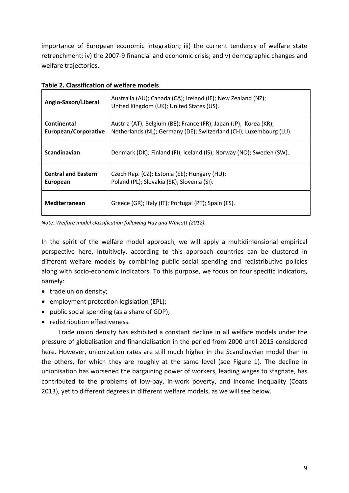importance of European economic integration; iii) the current tendency of welfare state retrenchment; iv) the 2007-9 financial and economic crisis; and v) demographic changes and welfare trajectories.

| Anglo-Saxon/Liberal                    | Australia (AU); Canada (CA); Ireland (IE); New Zealand (NZ);<br>United Kingdom (UK); United States (US).                               |
|----------------------------------------|----------------------------------------------------------------------------------------------------------------------------------------|
| Continental<br>European/Corporative    | Austria (AT); Belgium (BE); France (FR); Japan (JP); Korea (KR);<br>Netherlands (NL); Germany (DE); Switzerland (CH); Luxembourg (LU). |
| Scandinavian                           | Denmark (DK); Finland (FI); Iceland (IS); Norway (NO); Sweden (SW).                                                                    |
| <b>Central and Eastern</b><br>European | Czech Rep. (CZ); Estonia (EE); Hungary (HU);<br>Poland (PL); Slovakia (SK); Slovenia (SI).                                             |
| <b>Mediterranean</b>                   | Greece (GR); Italy (IT); Portugal (PT); Spain (ES).                                                                                    |

**Table 2. Classification of welfare models**

*Note: Welfare model classification following Hay and Wincott (2012).*

In the spirit of the welfare model approach, we will apply a multidimensional empirical perspective here. Intuitively, according to this approach countries can be clustered in different welfare models by combining public social spending and redistributive policies along with socio-economic indicators. To this purpose, we focus on four specific indicators, namely:

- trade union density;
- employment protection legislation (EPL);
- public social spending (as a share of GDP);
- redistribution effectiveness.

Trade union density has exhibited a constant decline in all welfare models under the pressure of globalisation and financialisation in the period from 2000 until 2015 considered here. However, unionization rates are still much higher in the Scandinavian model than in the others, for which they are roughly at the same level (see Figure 1). The decline in unionisation has worsened the bargaining power of workers, leading wages to stagnate, has contributed to the problems of low-pay, in-work poverty, and income inequality (Coats 2013), yet to different degrees in different welfare models, as we will see below.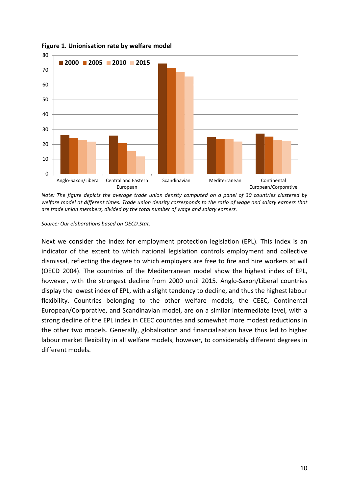

**Figure 1. Unionisation rate by welfare model**

*Note: The figure depicts the average trade union density computed on a panel of 30 countries clustered by welfare model at different times. Trade union density corresponds to the ratio of wage and salary earners that are trade union members, divided by the total number of wage and salary earners.* 

*Source: Our elaborations based on OECD.Stat.*

Next we consider the index for employment protection legislation (EPL). This index is an indicator of the extent to which national legislation controls employment and collective dismissal, reflecting the degree to which employers are free to fire and hire workers at will (OECD 2004). The countries of the Mediterranean model show the highest index of EPL, however, with the strongest decline from 2000 until 2015. Anglo-Saxon/Liberal countries display the lowest index of EPL, with a slight tendency to decline, and thus the highest labour flexibility. Countries belonging to the other welfare models, the CEEC, Continental European/Corporative, and Scandinavian model, are on a similar intermediate level, with a strong decline of the EPL index in CEEC countries and somewhat more modest reductions in the other two models. Generally, globalisation and financialisation have thus led to higher labour market flexibility in all welfare models, however, to considerably different degrees in different models.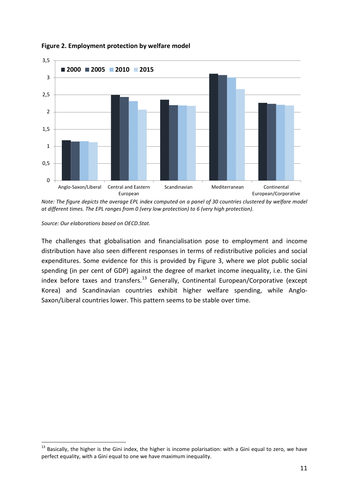

#### **Figure 2. Employment protection by welfare model**

*Note: The figure depicts the average EPL index computed on a panel of 30 countries clustered by welfare model at different times. The EPL ranges from 0 (very low protection) to 6 (very high protection).*

*Source: Our elaborations based on OECD.Stat.*

 $\overline{a}$ 

The challenges that globalisation and financialisation pose to employment and income distribution have also seen different responses in terms of redistributive policies and social expenditures. Some evidence for this is provided by Figure 3, where we plot public social spending (in per cent of GDP) against the degree of market income inequality, i.e. the Gini index before taxes and transfers.<sup>[13](#page-11-0)</sup> Generally, Continental European/Corporative (except Korea) and Scandinavian countries exhibit higher welfare spending, while Anglo-Saxon/Liberal countries lower. This pattern seems to be stable over time.

<span id="page-11-0"></span><sup>&</sup>lt;sup>13</sup> Basically, the higher is the Gini index, the higher is income polarisation: with a Gini equal to zero, we have perfect equality, with a Gini equal to one we have maximum inequality.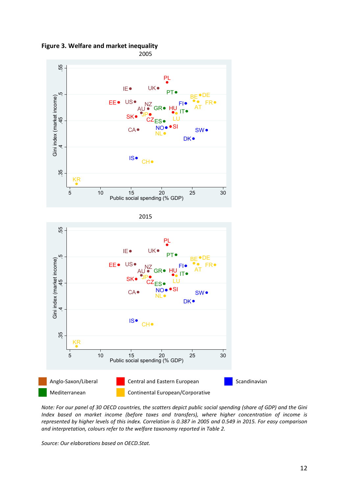

### **Figure 3. Welfare and market inequality**

2005





*Note: For our panel of 30 OECD countries, the scatters depict public social spending (share of GDP) and the Gini Index based on market income (before taxes and transfers), where higher concentration of income is represented by higher levels of this index. Correlation is 0.387 in 2005 and 0.549 in 2015. For easy comparison and interpretation, colours refer to the welfare taxonomy reported in Table 2.*

*Source: Our elaborations based on OECD.Stat.*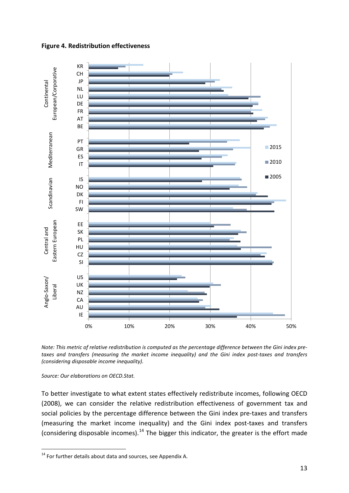



*Note: This metric of relative redistribution is computed as the percentage difference between the Gini index pretaxes and transfers (measuring the market income inequality) and the Gini index post-taxes and transfers (considering disposable income inequality).* 

*Source: Our elaborations on OECD.Stat.*

 $\overline{a}$ 

To better investigate to what extent states effectively redistribute incomes, following OECD (2008), we can consider the relative redistribution effectiveness of government tax and social policies by the percentage difference between the Gini index pre-taxes and transfers (measuring the market income inequality) and the Gini index post-taxes and transfers (considering disposable incomes).<sup>[14](#page-13-0)</sup> The bigger this indicator, the greater is the effort made

<span id="page-13-0"></span> $14$  For further details about data and sources, see Appendix A.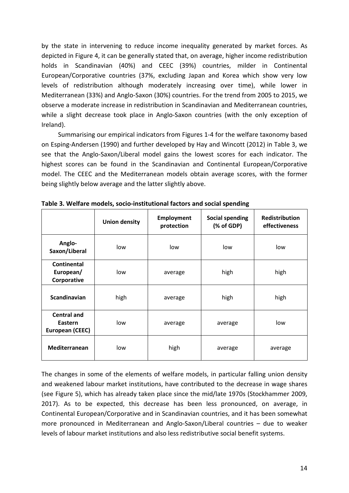by the state in intervening to reduce income inequality generated by market forces. As depicted in Figure 4, it can be generally stated that, on average, higher income redistribution holds in Scandinavian (40%) and CEEC (39%) countries, milder in Continental European/Corporative countries (37%, excluding Japan and Korea which show very low levels of redistribution although moderately increasing over time), while lower in Mediterranean (33%) and Anglo-Saxon (30%) countries. For the trend from 2005 to 2015, we observe a moderate increase in redistribution in Scandinavian and Mediterranean countries, while a slight decrease took place in Anglo-Saxon countries (with the only exception of Ireland).

Summarising our empirical indicators from Figures 1-4 for the welfare taxonomy based on Esping-Andersen (1990) and further developed by Hay and Wincott (2012) in Table 3, we see that the Anglo-Saxon/Liberal model gains the lowest scores for each indicator. The highest scores can be found in the Scandinavian and Continental European/Corporative model. The CEEC and the Mediterranean models obtain average scores, with the former being slightly below average and the latter slightly above.

|                                                  | <b>Union density</b> | <b>Employment</b><br>protection | <b>Social spending</b><br>(% of GDP) | <b>Redistribution</b><br>effectiveness |
|--------------------------------------------------|----------------------|---------------------------------|--------------------------------------|----------------------------------------|
| Anglo-<br>Saxon/Liberal                          | low                  | low                             | low                                  | low                                    |
| Continental<br>European/<br>Corporative          | low                  | average                         | high                                 | high                                   |
| Scandinavian                                     | high                 | average                         | high                                 | high                                   |
| <b>Central and</b><br>Eastern<br>European (CEEC) | low                  | average                         | average                              | low                                    |
| <b>Mediterranean</b>                             | low                  | high                            | average                              | average                                |

**Table 3. Welfare models, socio-institutional factors and social spending**

The changes in some of the elements of welfare models, in particular falling union density and weakened labour market institutions, have contributed to the decrease in wage shares (see Figure 5), which has already taken place since the mid/late 1970s (Stockhammer 2009, 2017). As to be expected, this decrease has been less pronounced, on average, in Continental European/Corporative and in Scandinavian countries, and it has been somewhat more pronounced in Mediterranean and Anglo-Saxon/Liberal countries – due to weaker levels of labour market institutions and also less redistributive social benefit systems.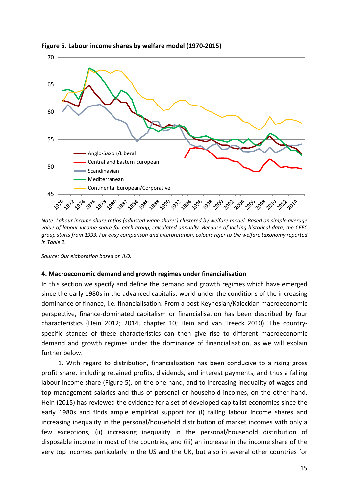

**Figure 5. Labour income shares by welfare model (1970-2015)**

*Note: Labour income share ratios (adjusted wage shares) clustered by welfare model. Based on simple average value of labour income share for each group, calculated annually. Because of lacking historical data, the CEEC group starts from 1993. For easy comparison and interpretation, colours refer to the welfare taxonomy reported in Table 2.* 

*Source: Our elaboration based on ILO.*

#### **4. Macroeconomic demand and growth regimes under financialisation**

In this section we specify and define the demand and growth regimes which have emerged since the early 1980s in the advanced capitalist world under the conditions of the increasing dominance of finance, i.e. financialisation. From a post-Keynesian/Kaleckian macroeconomic perspective, finance-dominated capitalism or financialisation has been described by four characteristics (Hein 2012; 2014, chapter 10; Hein and van Treeck 2010). The countryspecific stances of these characteristics can then give rise to different macroeconomic demand and growth regimes under the dominance of financialisation, as we will explain further below.

1. With regard to distribution, financialisation has been conducive to a rising gross profit share, including retained profits, dividends, and interest payments, and thus a falling labour income share (Figure 5), on the one hand, and to increasing inequality of wages and top management salaries and thus of personal or household incomes, on the other hand. Hein (2015) has reviewed the evidence for a set of developed capitalist economies since the early 1980s and finds ample empirical support for (i) falling labour income shares and increasing inequality in the personal/household distribution of market incomes with only a few exceptions, (ii) increasing inequality in the personal/household distribution of disposable income in most of the countries, and (iii) an increase in the income share of the very top incomes particularly in the US and the UK, but also in several other countries for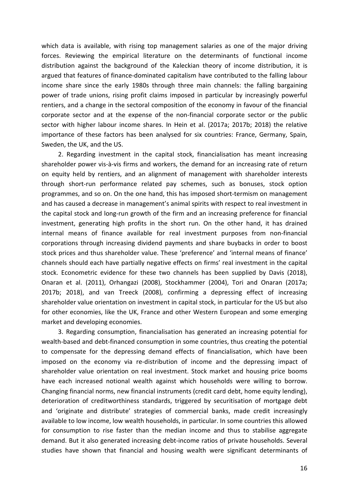which data is available, with rising top management salaries as one of the major driving forces. Reviewing the empirical literature on the determinants of functional income distribution against the background of the Kaleckian theory of income distribution, it is argued that features of finance-dominated capitalism have contributed to the falling labour income share since the early 1980s through three main channels: the falling bargaining power of trade unions, rising profit claims imposed in particular by increasingly powerful rentiers, and a change in the sectoral composition of the economy in favour of the financial corporate sector and at the expense of the non-financial corporate sector or the public sector with higher labour income shares. In Hein et al. (2017a; 2017b; 2018) the relative importance of these factors has been analysed for six countries: France, Germany, Spain, Sweden, the UK, and the US.

2. Regarding investment in the capital stock, financialisation has meant increasing shareholder power vis-à-vis firms and workers, the demand for an increasing rate of return on equity held by rentiers, and an alignment of management with shareholder interests through short-run performance related pay schemes, such as bonuses, stock option programmes, and so on. On the one hand, this has imposed short-termism on management and has caused a decrease in management's animal spirits with respect to real investment in the capital stock and long-run growth of the firm and an increasing preference for financial investment, generating high profits in the short run. On the other hand, it has drained internal means of finance available for real investment purposes from non-financial corporations through increasing dividend payments and share buybacks in order to boost stock prices and thus shareholder value. These 'preference' and 'internal means of finance' channels should each have partially negative effects on firms' real investment in the capital stock. Econometric evidence for these two channels has been supplied by Davis (2018), Onaran et al. (2011), Orhangazi (2008), Stockhammer (2004), Tori and Onaran (2017a; 2017b; 2018), and van Treeck (2008), confirming a depressing effect of increasing shareholder value orientation on investment in capital stock, in particular for the US but also for other economies, like the UK, France and other Western European and some emerging market and developing economies.

3. Regarding consumption, financialisation has generated an increasing potential for wealth-based and debt-financed consumption in some countries, thus creating the potential to compensate for the depressing demand effects of financialisation, which have been imposed on the economy via re-distribution of income and the depressing impact of shareholder value orientation on real investment. Stock market and housing price booms have each increased notional wealth against which households were willing to borrow. Changing financial norms, new financial instruments (credit card debt, home equity lending), deterioration of creditworthiness standards, triggered by securitisation of mortgage debt and 'originate and distribute' strategies of commercial banks, made credit increasingly available to low income, low wealth households, in particular. In some countries this allowed for consumption to rise faster than the median income and thus to stabilise aggregate demand. But it also generated increasing debt-income ratios of private households. Several studies have shown that financial and housing wealth were significant determinants of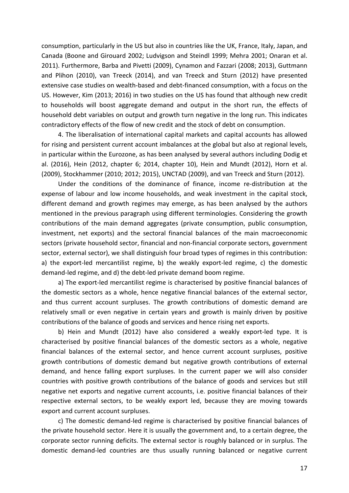consumption, particularly in the US but also in countries like the UK, France, Italy, Japan, and Canada (Boone and Girouard 2002; Ludvigson and Steindl 1999; Mehra 2001; Onaran et al. 2011). Furthermore, Barba and Pivetti (2009), Cynamon and Fazzari (2008; 2013), Guttmann and Plihon (2010), van Treeck (2014), and van Treeck and Sturn (2012) have presented extensive case studies on wealth-based and debt-financed consumption, with a focus on the US. However, Kim (2013; 2016) in two studies on the US has found that although new credit to households will boost aggregate demand and output in the short run, the effects of household debt variables on output and growth turn negative in the long run. This indicates contradictory effects of the flow of new credit and the stock of debt on consumption.

4. The liberalisation of international capital markets and capital accounts has allowed for rising and persistent current account imbalances at the global but also at regional levels, in particular within the Eurozone, as has been analysed by several authors including Dodig et al. (2016), Hein (2012, chapter 6; 2014, chapter 10), Hein and Mundt (2012), Horn et al. (2009), Stockhammer (2010; 2012; 2015), UNCTAD (2009), and van Treeck and Sturn (2012).

Under the conditions of the dominance of finance, income re-distribution at the expense of labour and low income households, and weak investment in the capital stock, different demand and growth regimes may emerge, as has been analysed by the authors mentioned in the previous paragraph using different terminologies. Considering the growth contributions of the main demand aggregates (private consumption, public consumption, investment, net exports) and the sectoral financial balances of the main macroeconomic sectors (private household sector, financial and non-financial corporate sectors, government sector, external sector), we shall distinguish four broad types of regimes in this contribution: a) the export-led mercantilist regime, b) the weakly export-led regime, c) the domestic demand-led regime, and d) the debt-led private demand boom regime.

a) The export-led mercantilist regime is characterised by positive financial balances of the domestic sectors as a whole, hence negative financial balances of the external sector, and thus current account surpluses. The growth contributions of domestic demand are relatively small or even negative in certain years and growth is mainly driven by positive contributions of the balance of goods and services and hence rising net exports.

b) Hein and Mundt (2012) have also considered a weakly export-led type. It is characterised by positive financial balances of the domestic sectors as a whole, negative financial balances of the external sector, and hence current account surpluses, positive growth contributions of domestic demand but negative growth contributions of external demand, and hence falling export surpluses. In the current paper we will also consider countries with positive growth contributions of the balance of goods and services but still negative net exports and negative current accounts, i.e. positive financial balances of their respective external sectors, to be weakly export led, because they are moving towards export and current account surpluses.

c) The domestic demand-led regime is characterised by positive financial balances of the private household sector. Here it is usually the government and, to a certain degree, the corporate sector running deficits. The external sector is roughly balanced or in surplus. The domestic demand-led countries are thus usually running balanced or negative current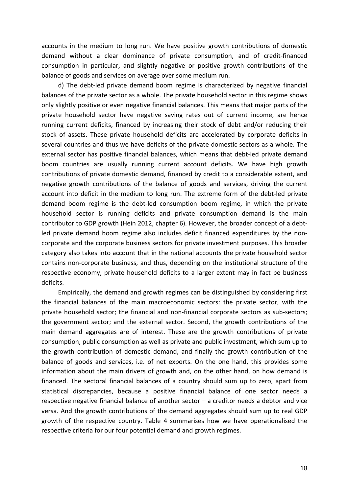accounts in the medium to long run. We have positive growth contributions of domestic demand without a clear dominance of private consumption, and of credit-financed consumption in particular, and slightly negative or positive growth contributions of the balance of goods and services on average over some medium run.

d) The debt-led private demand boom regime is characterized by negative financial balances of the private sector as a whole. The private household sector in this regime shows only slightly positive or even negative financial balances. This means that major parts of the private household sector have negative saving rates out of current income, are hence running current deficits, financed by increasing their stock of debt and/or reducing their stock of assets. These private household deficits are accelerated by corporate deficits in several countries and thus we have deficits of the private domestic sectors as a whole. The external sector has positive financial balances, which means that debt-led private demand boom countries are usually running current account deficits. We have high growth contributions of private domestic demand, financed by credit to a considerable extent, and negative growth contributions of the balance of goods and services, driving the current account into deficit in the medium to long run. The extreme form of the debt-led private demand boom regime is the debt-led consumption boom regime, in which the private household sector is running deficits and private consumption demand is the main contributor to GDP growth (Hein 2012, chapter 6). However, the broader concept of a debtled private demand boom regime also includes deficit financed expenditures by the noncorporate and the corporate business sectors for private investment purposes. This broader category also takes into account that in the national accounts the private household sector contains non-corporate business, and thus, depending on the institutional structure of the respective economy, private household deficits to a larger extent may in fact be business deficits.

Empirically, the demand and growth regimes can be distinguished by considering first the financial balances of the main macroeconomic sectors: the private sector, with the private household sector; the financial and non-financial corporate sectors as sub-sectors; the government sector; and the external sector. Second, the growth contributions of the main demand aggregates are of interest. These are the growth contributions of private consumption, public consumption as well as private and public investment, which sum up to the growth contribution of domestic demand, and finally the growth contribution of the balance of goods and services, i.e. of net exports. On the one hand, this provides some information about the main drivers of growth and, on the other hand, on how demand is financed. The sectoral financial balances of a country should sum up to zero, apart from statistical discrepancies, because a positive financial balance of one sector needs a respective negative financial balance of another sector – a creditor needs a debtor and vice versa. And the growth contributions of the demand aggregates should sum up to real GDP growth of the respective country. Table 4 summarises how we have operationalised the respective criteria for our four potential demand and growth regimes.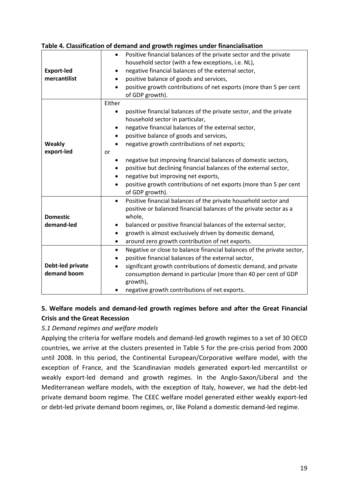| Positive financial balances of the private sector and the private<br>$\bullet$<br>household sector (with a few exceptions, i.e. NL),<br>negative financial balances of the external sector,<br><b>Export-led</b><br>mercantilist<br>positive balance of goods and services,<br>positive growth contributions of net exports (more than 5 per cent<br>of GDP growth).<br>Either<br>positive financial balances of the private sector, and the private<br>household sector in particular,<br>negative financial balances of the external sector,<br>positive balance of goods and services, |  |
|-------------------------------------------------------------------------------------------------------------------------------------------------------------------------------------------------------------------------------------------------------------------------------------------------------------------------------------------------------------------------------------------------------------------------------------------------------------------------------------------------------------------------------------------------------------------------------------------|--|
|                                                                                                                                                                                                                                                                                                                                                                                                                                                                                                                                                                                           |  |
|                                                                                                                                                                                                                                                                                                                                                                                                                                                                                                                                                                                           |  |
| negative growth contributions of net exports;<br><b>Weakly</b><br>export-led<br>or<br>negative but improving financial balances of domestic sectors,<br>positive but declining financial balances of the external sector,<br>negative but improving net exports,<br>$\bullet$<br>positive growth contributions of net exports (more than 5 per cent<br>of GDP growth).                                                                                                                                                                                                                    |  |
| Positive financial balances of the private household sector and<br>$\bullet$<br>positive or balanced financial balances of the private sector as a<br>whole,<br><b>Domestic</b><br>demand-led<br>balanced or positive financial balances of the external sector,<br>growth is almost exclusively driven by domestic demand,<br>around zero growth contribution of net exports.<br>٠                                                                                                                                                                                                       |  |
| Negative or close to balance financial balances of the private sector,<br>$\bullet$                                                                                                                                                                                                                                                                                                                                                                                                                                                                                                       |  |
| positive financial balances of the external sector,<br>Debt-led private<br>significant growth contributions of domestic demand, and private<br>demand boom<br>consumption demand in particular (more than 40 per cent of GDP<br>growth),<br>negative growth contributions of net exports.                                                                                                                                                                                                                                                                                                 |  |

#### **Table 4. Classification of demand and growth regimes under financialisation**

#### **5. Welfare models and demand-led growth regimes before and after the Great Financial Crisis and the Great Recession**

#### *5.1 Demand regimes and welfare models*

Applying the criteria for welfare models and demand-led growth regimes to a set of 30 OECD countries, we arrive at the clusters presented in Table 5 for the pre-crisis period from 2000 until 2008. In this period, the Continental European/Corporative welfare model, with the exception of France, and the Scandinavian models generated export-led mercantilist or weakly export-led demand and growth regimes. In the Anglo-Saxon/Liberal and the Mediterranean welfare models, with the exception of Italy, however, we had the debt-led private demand boom regime. The CEEC welfare model generated either weakly export-led or debt-led private demand boom regimes, or, like Poland a domestic demand-led regime.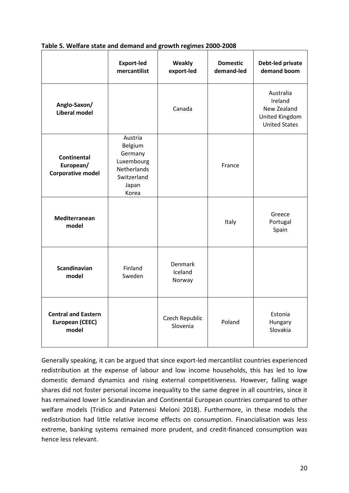|                                                               | <b>Export-led</b><br>mercantilist                                                           | <b>Weakly</b><br>export-led         | <b>Domestic</b><br>demand-led | Debt-led private<br>demand boom                                               |
|---------------------------------------------------------------|---------------------------------------------------------------------------------------------|-------------------------------------|-------------------------------|-------------------------------------------------------------------------------|
| Anglo-Saxon/<br><b>Liberal model</b>                          |                                                                                             | Canada                              |                               | Australia<br>Ireland<br>New Zealand<br>United Kingdom<br><b>United States</b> |
| <b>Continental</b><br>European/<br><b>Corporative model</b>   | Austria<br>Belgium<br>Germany<br>Luxembourg<br>Netherlands<br>Switzerland<br>Japan<br>Korea |                                     | France                        |                                                                               |
| <b>Mediterranean</b><br>model                                 |                                                                                             |                                     | Italy                         | Greece<br>Portugal<br>Spain                                                   |
| Scandinavian<br>model                                         | Finland<br>Sweden                                                                           | <b>Denmark</b><br>Iceland<br>Norway |                               |                                                                               |
| <b>Central and Eastern</b><br><b>European (CEEC)</b><br>model |                                                                                             | Czech Republic<br>Slovenia          | Poland                        | Estonia<br>Hungary<br>Slovakia                                                |

**Table 5. Welfare state and demand and growth regimes 2000-2008**

Generally speaking, it can be argued that since export-led mercantilist countries experienced redistribution at the expense of labour and low income households, this has led to low domestic demand dynamics and rising external competitiveness. However, falling wage shares did not foster personal income inequality to the same degree in all countries, since it has remained lower in Scandinavian and Continental European countries compared to other welfare models (Tridico and Paternesi Meloni 2018). Furthermore, in these models the redistribution had little relative income effects on consumption. Financialisation was less extreme, banking systems remained more prudent, and credit-financed consumption was hence less relevant.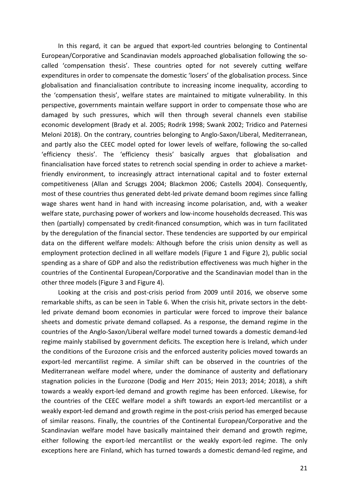In this regard, it can be argued that export-led countries belonging to Continental European/Corporative and Scandinavian models approached globalisation following the socalled 'compensation thesis'. These countries opted for not severely cutting welfare expenditures in order to compensate the domestic 'losers' of the globalisation process. Since globalisation and financialisation contribute to increasing income inequality, according to the 'compensation thesis', welfare states are maintained to mitigate vulnerability. In this perspective, governments maintain welfare support in order to compensate those who are damaged by such pressures, which will then through several channels even stabilise economic development (Brady et al. 2005; Rodrik 1998; Swank 2002; Tridico and Paternesi Meloni 2018). On the contrary, countries belonging to Anglo-Saxon/Liberal, Mediterranean, and partly also the CEEC model opted for lower levels of welfare, following the so-called 'efficiency thesis'. The 'efficiency thesis' basically argues that globalisation and financialisation have forced states to retrench social spending in order to achieve a marketfriendly environment, to increasingly attract international capital and to foster external competitiveness (Allan and Scruggs 2004; Blackmon 2006; Castells 2004). Consequently, most of these countries thus generated debt-led private demand boom regimes since falling wage shares went hand in hand with increasing income polarisation, and, with a weaker welfare state, purchasing power of workers and low-income households decreased. This was then (partially) compensated by credit-financed consumption, which was in turn facilitated by the deregulation of the financial sector. These tendencies are supported by our empirical data on the different welfare models: Although before the crisis union density as well as employment protection declined in all welfare models (Figure 1 and Figure 2), public social spending as a share of GDP and also the redistribution effectiveness was much higher in the countries of the Continental European/Corporative and the Scandinavian model than in the other three models (Figure 3 and Figure 4).

Looking at the crisis and post-crisis period from 2009 until 2016, we observe some remarkable shifts, as can be seen in Table 6. When the crisis hit, private sectors in the debtled private demand boom economies in particular were forced to improve their balance sheets and domestic private demand collapsed. As a response, the demand regime in the countries of the Anglo-Saxon/Liberal welfare model turned towards a domestic demand-led regime mainly stabilised by government deficits. The exception here is Ireland, which under the conditions of the Eurozone crisis and the enforced austerity policies moved towards an export-led mercantilist regime. A similar shift can be observed in the countries of the Mediterranean welfare model where, under the dominance of austerity and deflationary stagnation policies in the Eurozone (Dodig and Herr 2015; Hein 2013; 2014; 2018), a shift towards a weakly export-led demand and growth regime has been enforced. Likewise, for the countries of the CEEC welfare model a shift towards an export-led mercantilist or a weakly export-led demand and growth regime in the post-crisis period has emerged because of similar reasons. Finally, the countries of the Continental European/Corporative and the Scandinavian welfare model have basically maintained their demand and growth regime, either following the export-led mercantilist or the weakly export-led regime. The only exceptions here are Finland, which has turned towards a domestic demand-led regime, and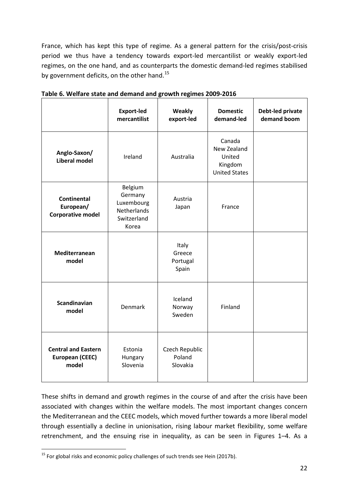France, which has kept this type of regime. As a general pattern for the crisis/post-crisis period we thus have a tendency towards export-led mercantilist or weakly export-led regimes, on the one hand, and as counterparts the domestic demand-led regimes stabilised by government deficits, on the other hand.<sup>[15](#page-22-0)</sup>

|                                                               | <b>Export-led</b><br>mercantilist                                       | Weakly<br>export-led                 | <b>Domestic</b><br>demand-led                                      | Debt-led private<br>demand boom |
|---------------------------------------------------------------|-------------------------------------------------------------------------|--------------------------------------|--------------------------------------------------------------------|---------------------------------|
| Anglo-Saxon/<br>Liberal model                                 | Ireland                                                                 | Australia                            | Canada<br>New Zealand<br>United<br>Kingdom<br><b>United States</b> |                                 |
| <b>Continental</b><br>European/<br><b>Corporative model</b>   | Belgium<br>Germany<br>Luxembourg<br>Netherlands<br>Switzerland<br>Korea | Austria<br>Japan                     | France                                                             |                                 |
| Mediterranean<br>model                                        |                                                                         | Italy<br>Greece<br>Portugal<br>Spain |                                                                    |                                 |
| Scandinavian<br>model                                         | <b>Denmark</b>                                                          | Iceland<br>Norway<br>Sweden          | Finland                                                            |                                 |
| <b>Central and Eastern</b><br><b>European (CEEC)</b><br>model | Estonia<br>Hungary<br>Slovenia                                          | Czech Republic<br>Poland<br>Slovakia |                                                                    |                                 |

**Table 6. Welfare state and demand and growth regimes 2009-2016**

These shifts in demand and growth regimes in the course of and after the crisis have been associated with changes within the welfare models. The most important changes concern the Mediterranean and the CEEC models, which moved further towards a more liberal model through essentially a decline in unionisation, rising labour market flexibility, some welfare retrenchment, and the ensuing rise in inequality, as can be seen in Figures 1–4. As a

<span id="page-22-0"></span> $15$  For global risks and economic policy challenges of such trends see Hein (2017b).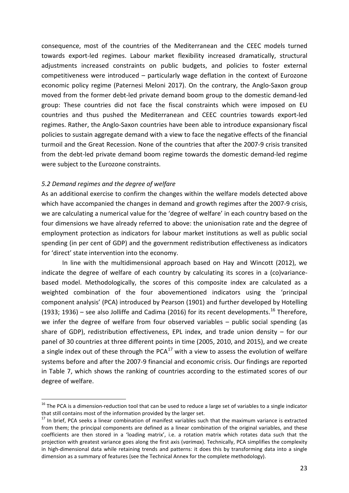consequence, most of the countries of the Mediterranean and the CEEC models turned towards export-led regimes. Labour market flexibility increased dramatically, structural adjustments increased constraints on public budgets, and policies to foster external competitiveness were introduced – particularly wage deflation in the context of Eurozone economic policy regime (Paternesi Meloni 2017). On the contrary, the Anglo-Saxon group moved from the former debt-led private demand boom group to the domestic demand-led group: These countries did not face the fiscal constraints which were imposed on EU countries and thus pushed the Mediterranean and CEEC countries towards export-led regimes. Rather, the Anglo-Saxon countries have been able to introduce expansionary fiscal policies to sustain aggregate demand with a view to face the negative effects of the financial turmoil and the Great Recession. None of the countries that after the 2007-9 crisis transited from the debt-led private demand boom regime towards the domestic demand-led regime were subject to the Eurozone constraints.

#### *5.2 Demand regimes and the degree of welfare*

 $\overline{a}$ 

As an additional exercise to confirm the changes within the welfare models detected above which have accompanied the changes in demand and growth regimes after the 2007-9 crisis, we are calculating a numerical value for the 'degree of welfare' in each country based on the four dimensions we have already referred to above: the unionisation rate and the degree of employment protection as indicators for labour market institutions as well as public social spending (in per cent of GDP) and the government redistribution effectiveness as indicators for 'direct' state intervention into the economy.

In line with the multidimensional approach based on Hay and Wincott (2012), we indicate the degree of welfare of each country by calculating its scores in a (co)variancebased model. Methodologically, the scores of this composite index are calculated as a weighted combination of the four abovementioned indicators using the 'principal component analysis' (PCA) introduced by Pearson (1901) and further developed by Hotelling (1933; 1936) – see also Jolliffe and Cadima (20[16](#page-23-0)) for its recent developments.<sup>16</sup> Therefore, we infer the degree of welfare from four observed variables – public social spending (as share of GDP), redistribution effectiveness, EPL index, and trade union density – for our panel of 30 countries at three different points in time (2005, 2010, and 2015), and we create a single index out of these through the  $PCA^{17}$  $PCA^{17}$  $PCA^{17}$  with a view to assess the evolution of welfare systems before and after the 2007-9 financial and economic crisis. Our findings are reported in Table 7, which shows the ranking of countries according to the estimated scores of our degree of welfare.

<span id="page-23-0"></span> $16$  The PCA is a dimension-reduction tool that can be used to reduce a large set of variables to a single indicator that still contains most of the information provided by the larger set.

<span id="page-23-1"></span><sup>&</sup>lt;sup>17</sup> In brief, PCA seeks a linear combination of manifest variables such that the maximum variance is extracted from them; the principal components are defined as a linear combination of the original variables, and these coefficients are then stored in a 'loading matrix', i.e. a rotation matrix which rotates data such that the projection with greatest variance goes along the first axis (*varimax*). Technically, PCA simplifies the complexity in high-dimensional data while retaining trends and patterns: it does this by transforming data into a single dimension as a summary of features (see the Technical Annex for the complete methodology).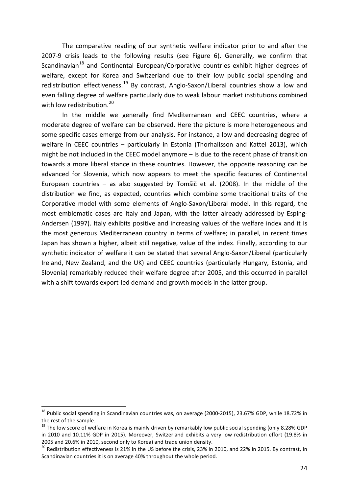The comparative reading of our synthetic welfare indicator prior to and after the 2007-9 crisis leads to the following results (see Figure 6). Generally, we confirm that Scandinavian<sup>[18](#page-24-0)</sup> and Continental European/Corporative countries exhibit higher degrees of welfare, except for Korea and Switzerland due to their low public social spending and redistribution effectiveness.<sup>[19](#page-24-1)</sup> By contrast, Anglo-Saxon/Liberal countries show a low and even falling degree of welfare particularly due to weak labour market institutions combined with low redistribution.<sup>[20](#page-24-2)</sup>

In the middle we generally find Mediterranean and CEEC countries, where a moderate degree of welfare can be observed. Here the picture is more heterogeneous and some specific cases emerge from our analysis. For instance, a low and decreasing degree of welfare in CEEC countries – particularly in Estonia (Thorhallsson and Kattel 2013), which might be not included in the CEEC model anymore – is due to the recent phase of transition towards a more liberal stance in these countries. However, the opposite reasoning can be advanced for Slovenia, which now appears to meet the specific features of Continental European countries – as also suggested by Tomšič et al. (2008). In the middle of the distribution we find, as expected, countries which combine some traditional traits of the Corporative model with some elements of Anglo-Saxon/Liberal model. In this regard, the most emblematic cases are Italy and Japan, with the latter already addressed by Esping-Andersen (1997). Italy exhibits positive and increasing values of the welfare index and it is the most generous Mediterranean country in terms of welfare; in parallel, in recent times Japan has shown a higher, albeit still negative, value of the index. Finally, according to our synthetic indicator of welfare it can be stated that several Anglo-Saxon/Liberal (particularly Ireland, New Zealand, and the UK) and CEEC countries (particularly Hungary, Estonia, and Slovenia) remarkably reduced their welfare degree after 2005, and this occurred in parallel with a shift towards export-led demand and growth models in the latter group.

<span id="page-24-0"></span><sup>&</sup>lt;sup>18</sup> Public social spending in Scandinavian countries was, on average (2000-2015), 23.67% GDP, while 18.72% in the rest of the sample.

<span id="page-24-1"></span> $19$  The low score of welfare in Korea is mainly driven by remarkably low public social spending (only 8.28% GDP) in 2010 and 10.11% GDP in 2015). Moreover, Switzerland exhibits a very low redistribution effort (19.8% in 2005 and 20.6% in 2010, second only to Korea) and trade union density.

<span id="page-24-2"></span> $^{20}$  Redistribution effectiveness is 21% in the US before the crisis, 23% in 2010, and 22% in 2015. By contrast, in Scandinavian countries it is on average 40% throughout the whole period.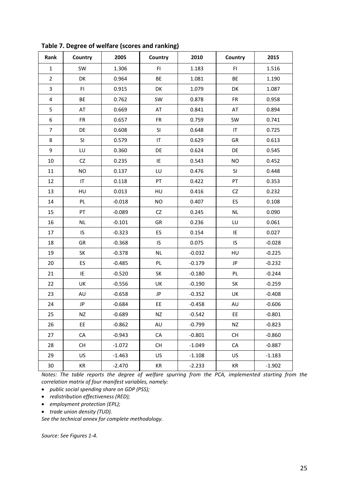| Rank                    | Country   | 2005     | Country       | 2010     | Country    | 2015     |
|-------------------------|-----------|----------|---------------|----------|------------|----------|
| $\mathbf{1}$            | SW        | 1.306    | FI.           | 1.183    | FI.        | 1.516    |
| $\overline{2}$          | DK        | 0.964    | BE            | 1.081    | BE         | 1.190    |
| 3                       | FI.       | 0.915    | DK            | 1.079    | DK         | 1.087    |
| $\overline{\mathbf{4}}$ | ВE        | 0.762    | SW            | 0.878    | ${\sf FR}$ | 0.958    |
| 5                       | AT        | 0.669    | AT            | 0.841    | AT         | 0.894    |
| 6                       | <b>FR</b> | 0.657    | <b>FR</b>     | 0.759    | SW         | 0.741    |
| $\overline{7}$          | DE        | 0.608    | SI            | 0.648    | $\sf IT$   | 0.725    |
| 8                       | SI        | 0.579    | IT            | 0.629    | GR         | 0.613    |
| 9                       | LU        | 0.360    | DE            | 0.624    | DE         | 0.545    |
| $10\,$                  | CZ        | 0.235    | IE            | 0.543    | <b>NO</b>  | 0.452    |
| 11                      | <b>NO</b> | 0.137    | LU            | 0.476    | SI         | 0.448    |
| 12                      | IT        | 0.118    | PT            | 0.422    | PT         | 0.353    |
| 13                      | HU        | 0.013    | HU            | 0.416    | CZ         | 0.232    |
| 14                      | PL        | $-0.018$ | <b>NO</b>     | 0.407    | ES         | 0.108    |
| 15                      | PT        | $-0.089$ | CZ            | 0.245    | <b>NL</b>  | 0.090    |
| 16                      | <b>NL</b> | $-0.101$ | GR            | 0.236    | LU         | 0.061    |
| 17                      | IS        | $-0.323$ | ES            | 0.154    | IE         | 0.027    |
| 18                      | GR        | $-0.368$ | IS.           | 0.075    | IS         | $-0.028$ |
| 19                      | SK        | $-0.378$ | $\sf NL$      | $-0.032$ | HU         | $-0.225$ |
| 20                      | ES        | $-0.485$ | $\mathsf{PL}$ | $-0.179$ | JP         | $-0.232$ |
| 21                      | IE        | $-0.520$ | SK            | $-0.180$ | PL         | $-0.244$ |
| 22                      | UK        | $-0.556$ | UK            | $-0.190$ | SK         | $-0.259$ |
| 23                      | AU        | $-0.658$ | JP            | $-0.352$ | UK         | $-0.408$ |
| 24                      | JP        | $-0.684$ | EE            | $-0.458$ | AU         | $-0.606$ |
| 25                      | ΝZ        | $-0.689$ | <b>NZ</b>     | $-0.542$ | EE         | $-0.801$ |
| 26                      | EE.       | $-0.862$ | AU            | $-0.799$ | NZ         | $-0.823$ |
| 27                      | CA        | $-0.943$ | CA            | $-0.801$ | <b>CH</b>  | $-0.860$ |
| 28                      | <b>CH</b> | $-1.072$ | <b>CH</b>     | $-1.049$ | CA         | $-0.887$ |
| 29                      | US        | $-1.463$ | US.           | $-1.108$ | <b>US</b>  | $-1.183$ |
| 30                      | KR        | $-2.470$ | KR            | $-2.233$ | KR         | $-1.902$ |

**Table 7. Degree of welfare (scores and ranking)**

*Notes: The table reports the degree of welfare spurring from the PCA, implemented starting from the correlation matrix of four manifest variables, namely:*

• *public social spending share on GDP (PSS);*

- *redistribution effectiveness (RED);*
- *employment protection (EPL);*
- *trade union density (TUD).*

*See the technical annex for complete methodology.*

*Source: See Figures 1-4.*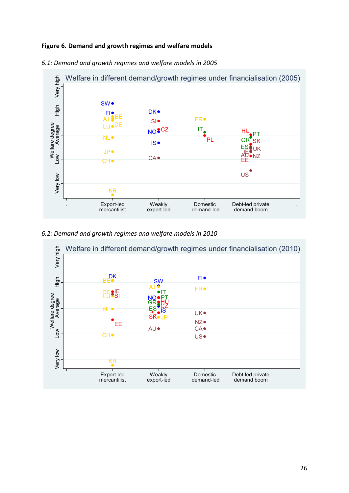#### **Figure 6. Demand and growth regimes and welfare models**





*6.2: Demand and growth regimes and welfare models in 2010*

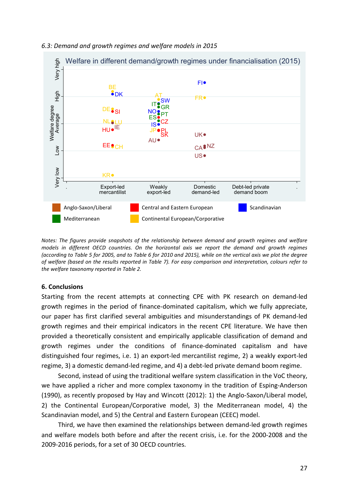

#### *6.3: Demand and growth regimes and welfare models in 2015*

*Notes: The figures provide snapshots of the relationship between demand and growth regimes and welfare models in different OECD countries. On the horizontal axis we report the demand and growth regimes (according to Table 5 for 2005, and to Table 6 for 2010 and 2015), while on the vertical axis we plot the degree of welfare (based on the results reported in Table 7). For easy comparison and interpretation, colours refer to the welfare taxonomy reported in Table 2.*

#### **6. Conclusions**

Starting from the recent attempts at connecting CPE with PK research on demand-led growth regimes in the period of finance-dominated capitalism, which we fully appreciate, our paper has first clarified several ambiguities and misunderstandings of PK demand-led growth regimes and their empirical indicators in the recent CPE literature. We have then provided a theoretically consistent and empirically applicable classification of demand and growth regimes under the conditions of finance-dominated capitalism and have distinguished four regimes, i.e. 1) an export-led mercantilist regime, 2) a weakly export-led regime, 3) a domestic demand-led regime, and 4) a debt-led private demand boom regime.

Second, instead of using the traditional welfare system classification in the VoC theory, we have applied a richer and more complex taxonomy in the tradition of Esping-Anderson (1990), as recently proposed by Hay and Wincott (2012): 1) the Anglo-Saxon/Liberal model, 2) the Continental European/Corporative model, 3) the Mediterranean model, 4) the Scandinavian model, and 5) the Central and Eastern European (CEEC) model.

Third, we have then examined the relationships between demand-led growth regimes and welfare models both before and after the recent crisis, i.e. for the 2000-2008 and the 2009-2016 periods, for a set of 30 OECD countries.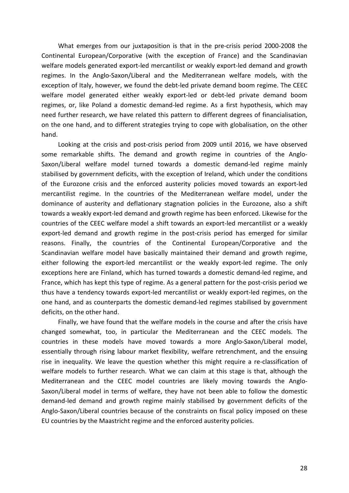What emerges from our juxtaposition is that in the pre-crisis period 2000-2008 the Continental European/Corporative (with the exception of France) and the Scandinavian welfare models generated export-led mercantilist or weakly export-led demand and growth regimes. In the Anglo-Saxon/Liberal and the Mediterranean welfare models, with the exception of Italy, however, we found the debt-led private demand boom regime. The CEEC welfare model generated either weakly export-led or debt-led private demand boom regimes, or, like Poland a domestic demand-led regime. As a first hypothesis, which may need further research, we have related this pattern to different degrees of financialisation, on the one hand, and to different strategies trying to cope with globalisation, on the other hand.

Looking at the crisis and post-crisis period from 2009 until 2016, we have observed some remarkable shifts. The demand and growth regime in countries of the Anglo-Saxon/Liberal welfare model turned towards a domestic demand-led regime mainly stabilised by government deficits, with the exception of Ireland, which under the conditions of the Eurozone crisis and the enforced austerity policies moved towards an export-led mercantilist regime. In the countries of the Mediterranean welfare model, under the dominance of austerity and deflationary stagnation policies in the Eurozone, also a shift towards a weakly export-led demand and growth regime has been enforced. Likewise for the countries of the CEEC welfare model a shift towards an export-led mercantilist or a weakly export-led demand and growth regime in the post-crisis period has emerged for similar reasons. Finally, the countries of the Continental European/Corporative and the Scandinavian welfare model have basically maintained their demand and growth regime, either following the export-led mercantilist or the weakly export-led regime. The only exceptions here are Finland, which has turned towards a domestic demand-led regime, and France, which has kept this type of regime. As a general pattern for the post-crisis period we thus have a tendency towards export-led mercantilist or weakly export-led regimes, on the one hand, and as counterparts the domestic demand-led regimes stabilised by government deficits, on the other hand.

Finally, we have found that the welfare models in the course and after the crisis have changed somewhat, too, in particular the Mediterranean and the CEEC models. The countries in these models have moved towards a more Anglo-Saxon/Liberal model, essentially through rising labour market flexibility, welfare retrenchment, and the ensuing rise in inequality. We leave the question whether this might require a re-classification of welfare models to further research. What we can claim at this stage is that, although the Mediterranean and the CEEC model countries are likely moving towards the Anglo-Saxon/Liberal model in terms of welfare, they have not been able to follow the domestic demand-led demand and growth regime mainly stabilised by government deficits of the Anglo-Saxon/Liberal countries because of the constraints on fiscal policy imposed on these EU countries by the Maastricht regime and the enforced austerity policies.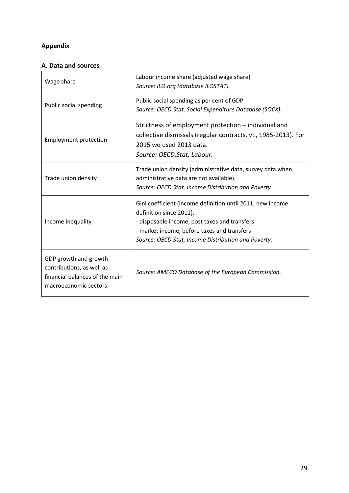#### **Appendix**

#### **A. Data and sources**

| Wage share                                                                                                    | Labour income share (adjusted wage share)<br>Source: ILO.org (database ILOSTAT).                                                                                                                                                             |  |  |
|---------------------------------------------------------------------------------------------------------------|----------------------------------------------------------------------------------------------------------------------------------------------------------------------------------------------------------------------------------------------|--|--|
| Public social spending                                                                                        | Public social spending as per cent of GDP.<br>Source: OECD.Stat, Social Expenditure Database (SOCX).                                                                                                                                         |  |  |
| <b>Employment protection</b>                                                                                  | Strictness of employment protection – individual and<br>collective dismissals (regular contracts, v1, 1985-2013). For<br>2015 we used 2013 data.<br>Source: OECD.Stat, Labour.                                                               |  |  |
| Trade union density                                                                                           | Trade union density (administrative data, survey data when<br>administrative data are not available).<br>Source: OECD.Stat, Income Distribution and Poverty.                                                                                 |  |  |
| Income inequality                                                                                             | Gini coefficient (income definition until 2011, new income<br>definition since 2011).<br>- disposable income, post taxes and transfers<br>- market income, before taxes and transfers<br>Source: OECD.Stat, Income Distribution and Poverty. |  |  |
| GDP growth and growth<br>contributions, as well as<br>financial balances of the main<br>macroeconomic sectors | Source: AMECO Database of the European Commission.                                                                                                                                                                                           |  |  |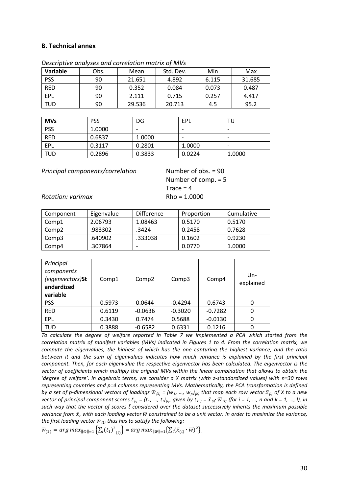#### **B. Technical annex**

| Variable   | Obs. | Mean   | Std. Dev. | Min   | Max    |
|------------|------|--------|-----------|-------|--------|
| <b>PSS</b> | 90   | 21.651 | 4.892     | 6.115 | 31.685 |
| <b>RED</b> | 90   | 0.352  | 0.084     | 0.073 | 0.487  |
| EPL        | 90   | 2.111  | 0.715     | 0.257 | 4.417  |
| TUD        | 90   | 29.536 | 20.713    | 4.5   | 95.2   |

*Descriptive analyses and correlation matrix of MVs*

| <b>MVs</b> | <b>PSS</b> | DG     | EPL    | TU                       |
|------------|------------|--------|--------|--------------------------|
| <b>PSS</b> | 1.0000     | -      | -      | $\overline{\phantom{0}}$ |
| <b>RED</b> | 0.6837     | 1.0000 | -      | $\overline{\phantom{0}}$ |
| EPL        | 0.3117     | 0.2801 | 1.0000 | $\overline{\phantom{0}}$ |
| <b>TUD</b> | 0.2896     | 0.3833 | 0.0224 | 1.0000                   |

*Principal components/correlation* Number of obs. = 90

 Number of comp. = 5 Trace  $= 4$ 

#### *Rotation: varimax* Rho = 1.0000

| Component | Eigenvalue | <b>Difference</b> | Proportion | Cumulative |
|-----------|------------|-------------------|------------|------------|
| Comp1     | 2.06793    | 1.08463           | 0.5170     | 0.5170     |
| Comp2     | .983302    | .3424             | 0.2458     | 0.7628     |
| Comp3     | .640902    | .333038           | 0.1602     | 0.9230     |
| Comp4     | .307864    | -                 | 0.0770     | 1.0000     |

| Principal<br>components<br>(eigenvectors)St<br>andardized<br>variable | Comp1  | Comp2     | Comp3     | Comp4     | $Un-$<br>explained |
|-----------------------------------------------------------------------|--------|-----------|-----------|-----------|--------------------|
| <b>PSS</b>                                                            | 0.5973 | 0.0644    | $-0.4294$ | 0.6743    | 0                  |
| <b>RED</b>                                                            | 0.6119 | $-0.0636$ | $-0.3020$ | $-0.7282$ | 0                  |
| EPL                                                                   | 0.3430 | 0.7474    | 0.5688    | $-0.0130$ | 0                  |
| TUD                                                                   | 0.3888 | $-0.6582$ | 0.6331    | 0.1216    | 0                  |

*To calculate the degree of welfare reported in Table 7 we implemented a PCA which started from the correlation matrix of manifest variables (MVs) indicated in Figures 1 to 4. From the correlation matrix, we compute the eigenvalues, the highest of which has the one capturing the highest variance, and the ratio*  between it and the sum of eigenvalues indicates how much variance is explained by the first principal *component. Then, for each eigenvalue the respective eigenvector has been calculated. The eigenvector is the vector of coefficients which multiply the original MVs within the linear combination that allows to obtain the 'degree of welfare'. In algebraic terms, we consider a X matrix (with z-standardized values) with n=30 rows representing countries and p=4 columns representing MVs. Mathematically, the PCA transformation is defined by a set of p-dimensional vectors of loadings*  $\overline{w}_{(k)}$  *= (w* $_1$ *, …, w* $_p)_{(k)}$  *that map each row vector*  $\bar{x}_{(i)}$  *of X to a new*  $vector$  of principal component scores  $\bar{t}_{(i)}$  = ( $t_1$ , …,  $t_l$ ) $_{(i)}$ , given by  $t_{k(i)}$  =  $\bar{x}_{(i)}$   $\bar{w}_{(k)}$  (for i = 1, …, n and k = 1, …, l), in *such way that the vector of scores* ̅*considered over the dataset successively inherits the maximum possible variance from*  $\bar{x}$ *, with each loading vector*  $\bar{w}$  *constrained to be a unit vector. In order to maximize the variance,*  $t$ he first loading vector  $\overline{w}_{\left( 1\right) }$  thus has to satisfy the following:

 $\overline{w}_{(1)} = arg \, max_{\|\overline{w}\|=1} \left\{ \sum_i (t_1)^2 \binom{}{^{(i)}} \right\} = arg \, max_{\|\overline{w}\|=1} \left\{ \sum_i (\overline{x}_{(i)} \cdot \overline{w})^2 \right\}.$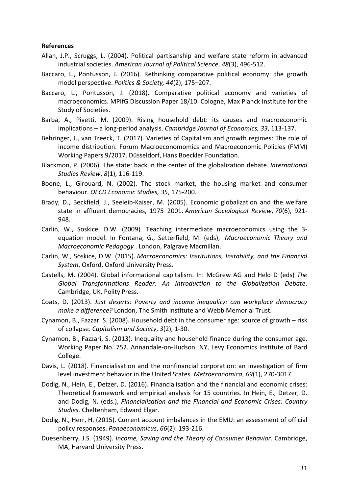#### **References**

- Allan, J.P., Scruggs, L. (2004). Political partisanship and welfare state reform in advanced industrial societies. *American Journal of Political Science*, *48*(3), 496-512.
- Baccaro, L., Pontusson, J. (2016). Rethinking comparative political economy: the growth model perspective. *Politics & Society, 44*(2), 175–207.
- Baccaro, L., Pontusson, J. (2018). Comparative political economy and varieties of macroeconomics. MPIfG Discussion Paper 18/10. Cologne, Max Planck Institute for the Study of Societies.
- Barba, A., Pivetti, M. (2009). Rising household debt: its causes and macroeconomic implications – a long-period analysis. *Cambridge Journal of Economics, 33*, 113-137.
- Behringer, J., van Treeck, T. (2017). Varieties of Capitalism and growth regimes: The role of income distribution. Forum Macroeconomomics and Macroeconomic Policies (FMM) Working Papers 9/2017. Düsseldorf, Hans Boeckler Foundation.
- Blackmon, P. (2006). The state: back in the center of the globalization debate. *International Studies Review*, *8*(1), 116-119.
- Boone, L., Girouard, N. (2002). The stock market, the housing market and consumer behaviour. *OECD Economic Studies, 35*, 175-200.
- Brady, D., Beckfield, J., Seeleib-Kaiser, M. (2005). Economic globalization and the welfare state in affluent democracies, 1975–2001. *American Sociological Review*, *70*(6), 921- 948.
- Carlin, W., Soskice, D.W. (2009). Teaching intermediate macroeconomics using the 3 equation model. In Fontana, G., Setterfield, M. (eds), *Macroeconomic Theory and Macroeconomic Pedagogy* . London, Palgrave Macmillan.
- Carlin, W., Soskice, D.W. (2015). *Macroeconomics: Institutions, Instability, and the Financial System*. Oxford, Oxford University Press.
- Castells, M. (2004). Global informational capitalism. In: McGrew AG and Held D (eds) *The Global Transformations Reader: An Introduction to the Globalization Debate*. Cambridge, UK, Polity Press.
- Coats, D. (2013). *Just deserts: Poverty and income inequality: can workplace democracy make a difference?* London, The Smith Institute and Webb Memorial Trust.
- Cynamon, B., Fazzari S. (2008). Household debt in the consumer age: source of growth risk of collapse. *Capitalism and Society*, *3*(2), 1-30.
- Cynamon, B., Fazzari, S. (2013). Inequality and household finance during the consumer age. Working Paper No. 752. Annandale-on-Hudson, NY, Levy Economics Institute of Bard College.
- Davis, L. (2018). Financialisation and the nonfinancial corporation: an investigation of firm level investment behavior in the United States. *Metroeconomica*, *69*(1), 270-3017.
- Dodig, N., Hein, E., Detzer, D. (2016). Financialisation and the financial and economic crises: Theoretical framework and empirical analysis for 15 countries. In Hein, E., Detzer, D. and Dodig, N. (eds.), *Financialisation and the Financial and Economic Crises: Country Studies.* Cheltenham, Edward Elgar.
- Dodig, N., Herr, H. (2015). Current account imbalances in the EMU: an assessment of official policy responses. *Panoeconomicus*, *66*(2): 193-216.
- Duesenberry, J.S. (1949). *Income, Saving and the Theory of Consumer Behavior.* Cambridge, MA, Harvard University Press.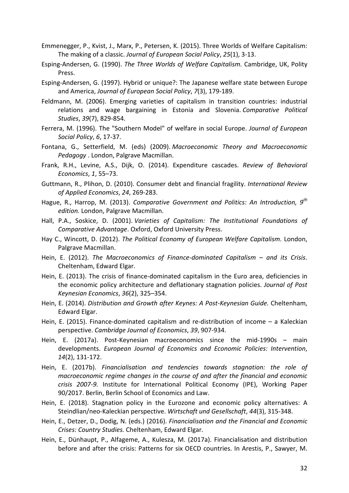- Emmenegger, P., Kvist, J., Marx, P., Petersen, K. (2015). Three Worlds of Welfare Capitalism: The making of a classic. *Journal of European Social Policy*, *25*(1), 3-13.
- Esping-Andersen, G. (1990). *The Three Worlds of Welfare Capitalism.* Cambridge, UK, Polity Press.
- Esping-Andersen, G. (1997). Hybrid or unique?: The Japanese welfare state between Europe and America, *Journal of European Social Policy*, *7*(3), 179-189.
- Feldmann, M. (2006). Emerging varieties of capitalism in transition countries: industrial relations and wage bargaining in Estonia and Slovenia. *Comparative Political Studies*, *39*(7), 829-854.
- Ferrera, M. (1996). The "Southern Model" of welfare in social Europe. *Journal of European Social Policy*, *6*, 17-37.
- Fontana, G., Setterfield, M. (eds) (2009). *Macroeconomic Theory and Macroeconomic Pedagogy* . London, Palgrave Macmillan.
- Frank, R.H., Levine, A.S., Dijk, O. (2014). Expenditure cascades. *Review of Behavioral Economics*, *1*, 55–73.
- Guttmann, R., Plihon, D. (2010). Consumer debt and financial fragility. *International Review of Applied Economics*, *24*, 269-283.
- Hague, R., Harrop, M. (2013). *Comparative Government and Politics: An Introduction, 9th edition.* London, Palgrave Macmillan.
- Hall, P.A., Soskice, D. (2001). *Varieties of Capitalism: The Institutional Foundations of Comparative Advantage*. Oxford, Oxford University Press.
- Hay C., Wincott, D. (2012). *The Political Economy of European Welfare Capitalism*. London, Palgrave Macmillan.
- Hein, E. (2012). *The Macroeconomics of Finance-dominated Capitalism – and its Crisis*. Cheltenham, Edward Elgar.
- Hein, E. (2013). The crisis of finance-dominated capitalism in the Euro area, deficiencies in the economic policy architecture and deflationary stagnation policies. *Journal of Post Keynesian Economics*, *36*(2), 325–354.
- Hein, E. (2014). *Distribution and Growth after Keynes: A Post-Keynesian Guide.* Cheltenham, Edward Elgar.
- Hein, E. (2015). Finance-dominated capitalism and re-distribution of income a Kaleckian perspective. *Cambridge Journal of Economics*, *39*, 907-934.
- Hein, E. (2017a). Post-Keynesian macroeconomics since the mid-1990s main developments. *European Journal of Economics and Economic Policies: Intervention*, *14*(2), 131-172.
- Hein, E. (2017b). *Financialisation and tendencies towards stagnation: the role of macroeconomic regime changes in the course of and after the financial and economic crisis 2007-9.* Institute for International Political Economy (IPE), Working Paper 90/2017. Berlin, Berlin School of Economics and Law.
- Hein, E. (2018). Stagnation policy in the Eurozone and economic policy alternatives: A Steindlian/neo-Kaleckian perspective. *Wirtschaft und Gesellschaft*, *44*(3), 315-348.
- Hein, E., Detzer, D., Dodig, N. (eds.) (2016). *Financialisation and the Financial and Economic Crises: Country Studies.* Cheltenham, Edward Elgar.
- Hein, E., Dünhaupt, P., Alfageme, A., Kulesza, M. (2017a). Financialisation and distribution before and after the crisis: Patterns for six OECD countries. In Arestis, P., Sawyer, M.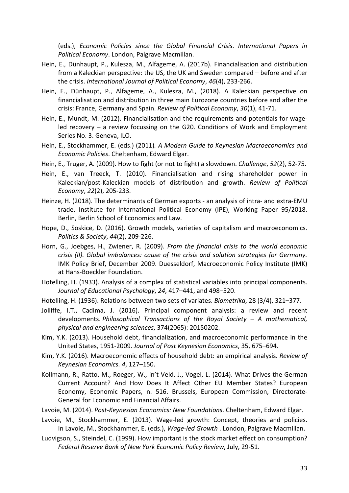(eds.), *Economic Policies since the Global Financial Crisis. International Papers in Political Economy*. London, Palgrave Macmillan.

- Hein, E., Dünhaupt, P., Kulesza, M., Alfageme, A. (2017b). Financialisation and distribution from a Kaleckian perspective: the US, the UK and Sweden compared – before and after the crisis. *International Journal of Political Economy*, *46*(4), 233-266.
- Hein, E., Dünhaupt, P., Alfageme, A., Kulesza, M., (2018). A Kaleckian perspective on financialisation and distribution in three main Eurozone countries before and after the crisis: France, Germany and Spain. *Review of Political Economy*, *30*(1), 41-71.
- Hein, E., Mundt, M. (2012). Financialisation and the requirements and potentials for wageled recovery – a review focussing on the G20. Conditions of Work and Employment Series No. 3. Geneva, ILO.
- Hein, E., Stockhammer, E. (eds.) (2011)*. A Modern Guide to Keynesian Macroeconomics and Economic Policies*. Cheltenham, Edward Elgar.
- Hein, E., Truger, A. (2009). How to fight (or not to fight) a slowdown. *Challenge*, *52*(2), 52-75.
- Hein, E., van Treeck, T. (2010). Financialisation and rising shareholder power in Kaleckian/post-Kaleckian models of distribution and growth. *Review of Political Economy*, *22*(2), 205-233.
- Heinze, H. (2018). The determinants of German exports an analysis of intra- and extra-EMU trade. Institute for International Political Economy (IPE), Working Paper 95/2018. Berlin, Berlin School of Economics and Law.
- Hope, D., Soskice, D. (2016). Growth models, varieties of capitalism and macroeconomics. *Politics & Society*, *44*(2), 209-226.
- Horn, G., Joebges, H., Zwiener, R. (2009). *From the financial crisis to the world economic crisis (II). Global imbalances: cause of the crisis and solution strategies for Germany.* IMK Policy Brief, December 2009. Duesseldorf, Macroeconomic Policy Institute (IMK) at Hans-Boeckler Foundation.
- Hotelling, H. (1933). Analysis of a complex of statistical variables into principal components. *Journal of Educational Psychology*, *24*, 417–441, and 498–520.
- Hotelling, H. (1936). Relations between two sets of variates. *Biometrika*, 28 (3/4), 321–377.
- Jolliffe, I.T., Cadima, J. (2016). Principal component analysis: a review and recent developments. *Philosophical Transactions of the Royal Society – A mathematical, physical and engineering sciences*, 374(2065): 20150202.
- Kim, Y.K. (2013). Household debt, financialization, and macroeconomic performance in the United States, 1951-2009. *Journal of Post Keynesian Economics*, 35, 675–694.
- Kim, Y.K. (2016). Macroeconomic effects of household debt: an empirical analysis. *Review of Keynesian Economics. 4*, 127–150.
- Kollmann, R., Ratto, M., Roeger, W., in't Veld, J., Vogel, L. (2014). What Drives the German Current Account? And How Does It Affect Other EU Member States? European Economy, Economic Papers, n. 516. Brussels, European Commission, Directorate-General for Economic and Financial Affairs.
- Lavoie, M. (2014). *Post-Keynesian Economics: New Foundations*. Cheltenham, Edward Elgar.
- Lavoie, M., Stockhammer, E. (2013). Wage-led growth: Concept, theories and policies. In Lavoie, M., Stockhammer, E. (eds.), *Wage-led Growth* . London, Palgrave Macmillan.
- Ludvigson, S., Steindel, C. (1999). How important is the stock market effect on consumption? *Federal Reserve Bank of New York Economic Policy Review*, July, 29-51.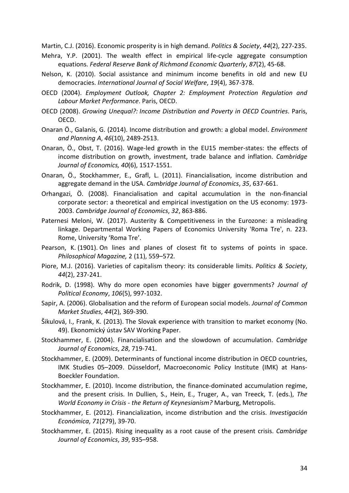Martin, C.J. (2016). Economic prosperity is in high demand. *Politics & Society*, *44*(2), 227-235.

- Mehra, Y.P. (2001). The wealth effect in empirical life-cycle aggregate consumption equations. *Federal Reserve Bank of Richmond Economic Quarterly*, *87*(2), 45-68.
- Nelson, K. (2010). Social assistance and minimum income benefits in old and new EU democracies. *International Journal of Social Welfare*, *19*(4), 367-378.
- OECD (2004). *Employment Outlook, Chapter 2: Employment Protection Regulation and Labour Market Performance*. Paris, OECD.
- OECD (2008). *Growing Unequal?: Income Distribution and Poverty in OECD Countries*. Paris, OECD.
- Onaran Ö., Galanis, G. (2014). Income distribution and growth: a global model. *Environment and Planning A*, *46*(10), 2489-2513.
- Onaran, Ö., Obst, T. (2016). Wage-led growth in the EU15 member-states: the effects of income distribution on growth, investment, trade balance and inflation. *Cambridge Journal of Economics, 40*(6), 1517-1551.
- Onaran, Ö., Stockhammer, E., Grafl, L. (2011). Financialisation, income distribution and aggregate demand in the USA. *Cambridge Journal of Economics*, *35*, 637-661.
- Orhangazi, Ö. (2008). Financialisation and capital accumulation in the non-financial corporate sector: a theoretical and empirical investigation on the US economy: 1973- 2003. *Cambridge Journal of Economics*, *32*, 863-886.
- Paternesi Meloni, W. (2017). Austerity & Competitiveness in the Eurozone: a misleading linkage. Departmental Working Papers of Economics University 'Roma Tre', n. 223. Rome, University 'Roma Tre'.
- Pearson, K. (1901). On lines and planes of closest fit to systems of points in space. *Philosophical Magazine,* 2 (11), 559–572*.*
- Piore, M.J. (2016). Varieties of capitalism theory: its considerable limits. *Politics & Society*, *44*(2), 237-241.
- Rodrik, D. (1998). Why do more open economies have bigger governments? *Journal of Political Economy*, *106*(5), 997-1032.
- Sapir, A. (2006). Globalisation and the reform of European social models. *Journal of Common Market Studies*, *44*(2), 369-390.
- Šikulová, I., Frank, K. (2013). The Slovak experience with transition to market economy (No. 49). Ekonomický ústav SAV Working Paper.
- Stockhammer, E. (2004). Financialisation and the slowdown of accumulation. *Cambridge Journal of Economics*, *28*, 719-741.
- Stockhammer, E. (2009). Determinants of functional income distribution in OECD countries, IMK Studies 05–2009. Düsseldorf, Macroeconomic Policy Institute (IMK) at Hans-Boeckler Foundation.
- Stockhammer, E. (2010). Income distribution, the finance-dominated accumulation regime, and the present crisis. In Dullien, S., Hein, E., Truger, A., van Treeck, T. (eds.), *The World Economy in Crisis - the Return of Keynesianism?* Marburg, Metropolis.
- Stockhammer, E. (2012). Financialization, income distribution and the crisis. *Investigación Económica*, *71*(279), 39-70.
- Stockhammer, E. (2015). Rising inequality as a root cause of the present crisis. *Cambridge Journal of Economics*, *39*, 935–958.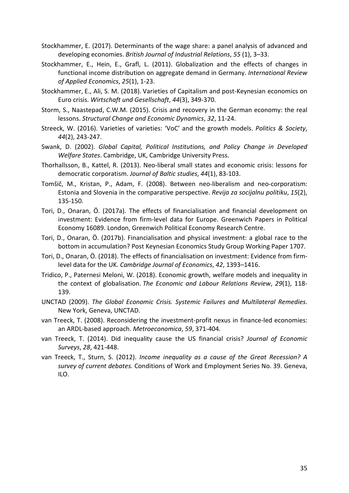- Stockhammer, E. (2017). Determinants of the wage share: a panel analysis of advanced and developing economies. *British Journal of Industrial Relations*, *55* (1), 3–33.
- Stockhammer, E., Hein, E., Grafl, L. (2011). Globalization and the effects of changes in functional income distribution on aggregate demand in Germany. *International Review of Applied Economics*, *25*(1), 1-23.
- Stockhammer, E., Ali, S. M. (2018). Varieties of Capitalism and post-Keynesian economics on Euro crisis. *Wirtschaft und Gesellschaft*, *44*(3), 349-370.
- Storm, S., Naastepad, C.W.M. (2015). Crisis and recovery in the German economy: the real lessons. *Structural Change and Economic Dynamics*, *32*, 11-24.
- Streeck, W. (2016). Varieties of varieties: 'VoC' and the growth models. *Politics & Society*, *44*(2), 243-247.
- Swank, D. (2002). *Global Capital, Political Institutions, and Policy Change in Developed Welfare States*. Cambridge, UK, Cambridge University Press.
- Thorhallsson, B., Kattel, R. (2013). Neo-liberal small states and economic crisis: lessons for democratic corporatism. *Journal of Baltic studies*, *44*(1), 83-103.
- Tomšič, M., Kristan, P., Adam, F. (2008). Between neo-liberalism and neo-corporatism: Estonia and Slovenia in the comparative perspective. *Revija za socijalnu politiku*, *15*(2), 135-150.
- Tori, D., Onaran, Ö. (2017a). The effects of financialisation and financial development on investment: Evidence from firm-level data for Europe. Greenwich Papers in Political Economy 16089. London, Greenwich Political Economy Research Centre.
- Tori, D., Onaran, Ö. (2017b). Financialisation and physical investment: a global race to the bottom in accumulation? Post Keynesian Economics Study Group Working Paper 1707.
- Tori, D., Onaran, Ö. (2018). The effects of financialisation on investment: Evidence from firmlevel data for the UK. *Cambridge Journal of Economics*, *42*, 1393–1416.
- Tridico, P., Paternesi Meloni, W. (2018). Economic growth, welfare models and inequality in the context of globalisation. *The Economic and Labour Relations Review*, *29*(1), 118- 139.
- UNCTAD (2009). *The Global Economic Crisis. Systemic Failures and Multilateral Remedies*. New York, Geneva, UNCTAD.
- van Treeck, T. (2008). Reconsidering the investment-profit nexus in finance-led economies: an ARDL-based approach. *Metroeconomica*, *59*, 371-404*.*
- van Treeck, T. (2014). Did inequality cause the US financial crisis? *Journal of Economic Surveys*, *28*, 421-448.
- van Treeck, T., Sturn, S. (2012). *Income inequality as a cause of the Great Recession? A survey of current debates.* Conditions of Work and Employment Series No. 39. Geneva, ILO.